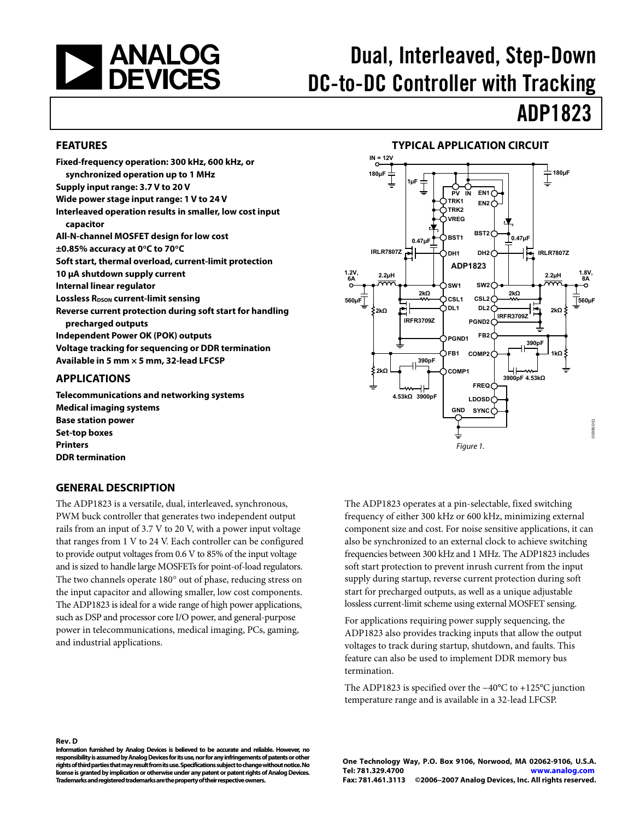<span id="page-0-0"></span>

# Dual, Interleaved, Step-Down DC-to-DC Controller with Tracking

# ADP1823

#### **FEATURES**

**Fixed-frequency operation: 300 kHz, 600 kHz, or synchronized operation up to 1 MHz Supply input range: 3.7 V to 20 V Wide power stage input range: 1 V to 24 V Interleaved operation results in smaller, low cost input capacitor All-N-channel MOSFET design for low cost ±0.85% accuracy at 0**°**C to 70**°**C Soft start, thermal overload, current-limit protection 10 μA shutdown supply current Internal linear regulator Lossless RDSON current-limit sensing Reverse current protection during soft start for handling precharged outputs Independent Power OK (POK) outputs Voltage tracking for sequencing or DDR termination Available in 5 mm × 5 mm, 32-lead LFCSP** 

#### **APPLICATIONS**

**Telecommunications and networking systems Medical imaging systems Base station power Set-top boxes Printers DDR termination** 

#### <span id="page-0-1"></span>**GENERAL DESCRIPTION**

The ADP1823 is a versatile, dual, interleaved, synchronous, PWM buck controller that generates two independent output rails from an input of 3.7 V to 20 V, with a power input voltage that ranges from 1 V to 24 V. Each controller can be configured to provide output voltages from 0.6 V to 85% of the input voltage and is sized to handle large MOSFETs for point-of-load regulators. The two channels operate 180° out of phase, reducing stress on the input capacitor and allowing smaller, low cost components. The ADP1823 is ideal for a wide range of high power applications, such as DSP and processor core I/O power, and general-purpose power in telecommunications, medical imaging, PCs, gaming, and industrial applications.



The ADP1823 operates at a pin-selectable, fixed switching frequency of either 300 kHz or 600 kHz, minimizing external component size and cost. For noise sensitive applications, it can also be synchronized to an external clock to achieve switching frequencies between 300 kHz and 1 MHz. The ADP1823 includes soft start protection to prevent inrush current from the input supply during startup, reverse current protection during soft start for precharged outputs, as well as a unique adjustable lossless current-limit scheme using external MOSFET sensing.

For applications requiring power supply sequencing, the ADP1823 also provides tracking inputs that allow the output voltages to track during startup, shutdown, and faults. This feature can also be used to implement DDR memory bus termination.

The ADP1823 is specified over the −40°C to +125°C junction temperature range and is available in a 32-lead LFCSP.

#### **Rev. D**

**Information furnished by Analog Devices is believed to be accurate and reliable. However, no responsibility is assumed by Analog Devices for its use, nor for any infringements of patents or other rights of third parties that may result from its use. Specifications subject to change without notice. No license is granted by implication or otherwise under any patent or patent rights of Analog Devices. Trademarks and registered trademarks are the property of their respective owners.** 

**One Technology Way, P.O. Box 9106, Norwood, MA 02062-9106, U.S.A. Tel: 781.329.4700 www.analog.com Fax: 781.461.3113 ©2006–2007 Analog Devices, Inc. All rights reserved.**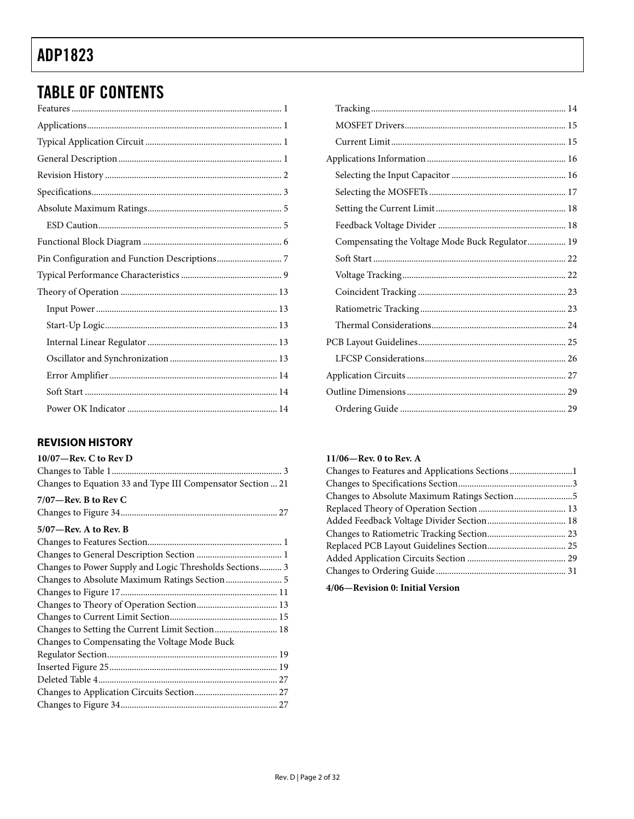### <span id="page-1-0"></span>TABLE OF CONTENTS

### **REVISION HISTORY**

| $10/07$ —Rev. C to Rev D                                    |
|-------------------------------------------------------------|
|                                                             |
| Changes to Equation 33 and Type III Compensator Section  21 |
| $7/07$ —Rev. B to Rev C                                     |
|                                                             |
| 5/07—Rev. A to Rev. B                                       |
|                                                             |
|                                                             |
| Changes to Power Supply and Logic Thresholds Sections 3     |
|                                                             |
|                                                             |
|                                                             |
|                                                             |
| Changes to Setting the Current Limit Section 18             |
| Changes to Compensating the Voltage Mode Buck               |
|                                                             |
|                                                             |
|                                                             |
|                                                             |
|                                                             |
|                                                             |

| Compensating the Voltage Mode Buck Regulator 19 |  |
|-------------------------------------------------|--|
|                                                 |  |
|                                                 |  |
|                                                 |  |
|                                                 |  |
|                                                 |  |
|                                                 |  |
|                                                 |  |
|                                                 |  |
|                                                 |  |
|                                                 |  |

#### **11/06—Rev. 0 to Rev. A**

| Changes to Features and Applications Sections 1 |  |
|-------------------------------------------------|--|
|                                                 |  |
|                                                 |  |
|                                                 |  |
|                                                 |  |
|                                                 |  |
|                                                 |  |
|                                                 |  |
|                                                 |  |

**4/06—Revision 0: Initial Version**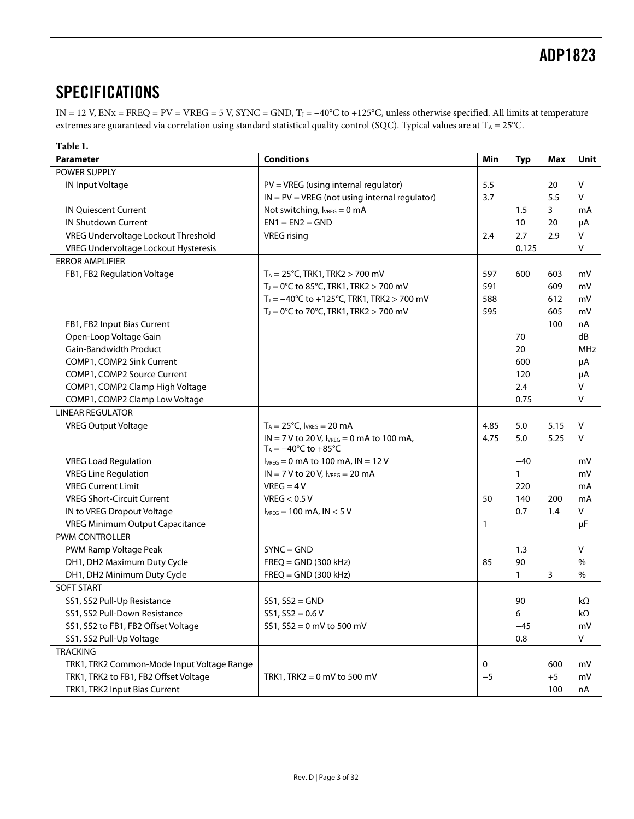### <span id="page-2-0"></span>**SPECIFICATIONS**

IN = 12 V, ENx = FREQ = PV = VREG = 5 V, SYNC = GND,  $T_J = -40^{\circ}C$  to +125°C, unless otherwise specified. All limits at temperature extremes are guaranteed via correlation using standard statistical quality control (SQC). Typical values are at T<sub>A</sub> = 25°C.

| Table 1.                                   |                                                                                            |      |              |      |            |
|--------------------------------------------|--------------------------------------------------------------------------------------------|------|--------------|------|------------|
| <b>Parameter</b>                           | <b>Conditions</b>                                                                          | Min  | <b>Typ</b>   | Max  | Unit       |
| <b>POWER SUPPLY</b>                        |                                                                                            |      |              |      |            |
| IN Input Voltage                           | $PV = VREG$ (using internal regulator)                                                     |      |              | 20   | V          |
|                                            | $IN = PV = VREG$ (not using internal regulator)                                            | 3.7  |              | 5.5  | V          |
| <b>IN Quiescent Current</b>                | Not switching, $I_{VREG} = 0$ mA                                                           |      | 1.5          | 3    | mA         |
| <b>IN Shutdown Current</b>                 | $EN1 = EN2 = GND$                                                                          |      | 10           | 20   | μA         |
| VREG Undervoltage Lockout Threshold        | <b>VREG</b> rising                                                                         | 2.4  | 2.7          | 2.9  | ٧          |
| VREG Undervoltage Lockout Hysteresis       |                                                                                            |      | 0.125        |      | v          |
| <b>ERROR AMPLIFIER</b>                     |                                                                                            |      |              |      |            |
| FB1, FB2 Regulation Voltage                | $T_A = 25^{\circ}$ C, TRK1, TRK2 > 700 mV                                                  | 597  | 600          | 603  | mV         |
|                                            | $T_1 = 0$ °C to 85°C, TRK1, TRK2 > 700 mV                                                  | 591  |              | 609  | mV         |
|                                            | $T_1 = -40^{\circ}$ C to +125°C, TRK1, TRK2 > 700 mV                                       | 588  |              | 612  | mV         |
|                                            | $T_1 = 0$ °C to 70°C, TRK1, TRK2 > 700 mV                                                  | 595  |              | 605  | mV         |
| FB1, FB2 Input Bias Current                |                                                                                            |      |              | 100  | nA         |
| Open-Loop Voltage Gain                     |                                                                                            |      | 70           |      | dB         |
| <b>Gain-Bandwidth Product</b>              |                                                                                            |      | 20           |      | <b>MHz</b> |
| COMP1, COMP2 Sink Current                  |                                                                                            |      | 600          |      | μA         |
| COMP1, COMP2 Source Current                |                                                                                            |      | 120          |      | μA         |
| COMP1, COMP2 Clamp High Voltage            |                                                                                            |      | 2.4          |      | v          |
| COMP1, COMP2 Clamp Low Voltage             |                                                                                            |      | 0.75         |      | v          |
| <b>LINEAR REGULATOR</b>                    |                                                                                            |      |              |      |            |
| <b>VREG Output Voltage</b>                 | $T_A = 25^{\circ}C$ , $I_{VREG} = 20$ mA                                                   | 4.85 | 5.0          | 5.15 | v          |
|                                            | $IN = 7 V$ to 20 V, $I_{VREG} = 0$ mA to 100 mA,<br>$T_A = -40^{\circ}C$ to $+85^{\circ}C$ | 4.75 | 5.0          | 5.25 | v          |
| <b>VREG Load Regulation</b>                | $I_{VREG} = 0$ mA to 100 mA, $IN = 12 V$                                                   |      | $-40$        |      | mV         |
| <b>VREG Line Regulation</b>                | $IN = 7 V$ to 20 V, $V_{REG} = 20 mA$                                                      |      | $\mathbf{1}$ |      | mV         |
| <b>VREG Current Limit</b>                  | $VREG = 4V$                                                                                |      | 220          |      | mA         |
| <b>VREG Short-Circuit Current</b>          | VREG $< 0.5$ V                                                                             | 50   | 140          | 200  | mA         |
| IN to VREG Dropout Voltage                 | $I_{VREG} = 100$ mA, $IN < 5$ V                                                            |      | 0.7          | 1.4  | V          |
| <b>VREG Minimum Output Capacitance</b>     |                                                                                            | 1    |              |      | μF         |
| <b>PWM CONTROLLER</b>                      |                                                                                            |      |              |      |            |
| PWM Ramp Voltage Peak                      | $SYNC = GND$                                                                               |      | 1.3          |      | v          |
| DH1, DH2 Maximum Duty Cycle                | $FREQ = GND$ (300 kHz)                                                                     | 85   | 90           |      | $\%$       |
| DH1, DH2 Minimum Duty Cycle                | $FREQ = GND$ (300 kHz)                                                                     |      | 1            | 3    | $\%$       |
| <b>SOFT START</b>                          |                                                                                            |      |              |      |            |
| SS1, SS2 Pull-Up Resistance                | $SS1, SSS = GND$                                                                           |      | 90           |      | kΩ         |
| SS1, SS2 Pull-Down Resistance              | $SS1, SS2 = 0.6 V$                                                                         |      | 6            |      | kΩ         |
| SS1, SS2 to FB1, FB2 Offset Voltage        | $SS1, SS2 = 0$ mV to 500 mV                                                                |      | $-45$        |      | mV         |
| SS1, SS2 Pull-Up Voltage                   |                                                                                            |      | 0.8          |      | V          |
| <b>TRACKING</b>                            |                                                                                            |      |              |      |            |
| TRK1, TRK2 Common-Mode Input Voltage Range |                                                                                            | 0    |              | 600  | mV         |
| TRK1, TRK2 to FB1, FB2 Offset Voltage      | TRK1, TRK2 = $0$ mV to 500 mV                                                              | $-5$ |              | $+5$ | mV         |
| TRK1, TRK2 Input Bias Current              |                                                                                            |      |              | 100  | nA         |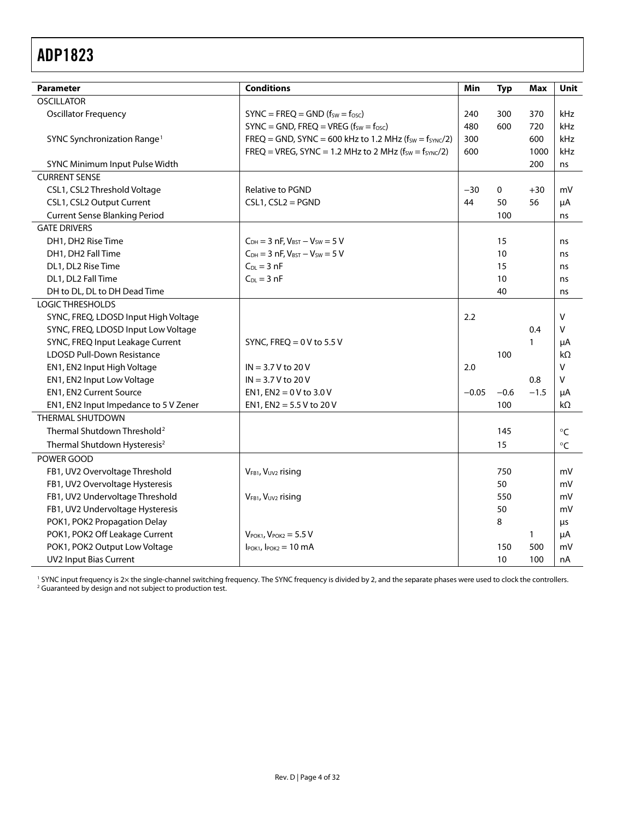<span id="page-3-0"></span>

| <b>Parameter</b>                                    | <b>Conditions</b>                                                  | Min     | <b>Typ</b> | <b>Max</b> | Unit        |
|-----------------------------------------------------|--------------------------------------------------------------------|---------|------------|------------|-------------|
| <b>OSCILLATOR</b>                                   |                                                                    |         |            |            |             |
| <b>Oscillator Frequency</b>                         | $SYNC = FREQ = GND (fSW = fosc)$                                   | 240     | 300        | 370        | kHz         |
|                                                     | $SYNC = GND$ , FREQ = VREG ( $f_{SW} = f_{OSC}$ )                  | 480     | 600        | 720        | <b>kHz</b>  |
| SYNC Synchronization Range <sup>1</sup>             | $FREQ = GND$ , SYNC = 600 kHz to 1.2 MHz ( $f_{SW} = f_{SYNC}/2$ ) | 300     |            | 600        | <b>kHz</b>  |
|                                                     | FREQ = VREG, SYNC = 1.2 MHz to 2 MHz $(f_{SW} = f_{SYNC}/2)$       | 600     |            | 1000       | <b>kHz</b>  |
| SYNC Minimum Input Pulse Width                      |                                                                    |         |            | 200        | ns          |
| <b>CURRENT SENSE</b>                                |                                                                    |         |            |            |             |
| CSL1, CSL2 Threshold Voltage                        | Relative to PGND                                                   | $-30$   | 0          | $+30$      | mV          |
| CSL1, CSL2 Output Current                           | $CSL1, CSL2 = PGND$                                                | 44      | 50         | 56         | μA          |
| <b>Current Sense Blanking Period</b>                |                                                                    | 100     |            | ns         |             |
| <b>GATE DRIVERS</b>                                 |                                                                    |         |            |            |             |
| DH1, DH2 Rise Time                                  | $C_{DH} = 3$ nF, $V_{BST} - V_{SW} = 5$ V                          |         | 15         |            | ns          |
| DH1, DH2 Fall Time                                  | $C_{DH} = 3 nF, V_{BST} - V_{SW} = 5 V$                            |         | 10         |            | ns          |
| DL1, DL2 Rise Time                                  | $C_{DL} = 3 nF$                                                    |         | 15         |            | ns          |
| DL1, DL2 Fall Time                                  | $C_{DL} = 3 nF$                                                    |         | 10         |            | ns          |
| DH to DL, DL to DH Dead Time                        |                                                                    |         | 40         |            | ns          |
| <b>LOGIC THRESHOLDS</b>                             |                                                                    |         |            |            |             |
| SYNC, FREQ, LDOSD Input High Voltage                |                                                                    | 2.2     |            |            | $\vee$      |
| SYNC, FREQ, LDOSD Input Low Voltage                 |                                                                    |         |            | 0.4        | $\vee$      |
| SYNC, FREQ Input Leakage Current                    | SYNC, FREQ = $0$ V to 5.5 V                                        |         |            | 1          | μA          |
| <b>LDOSD Pull-Down Resistance</b>                   |                                                                    |         | 100        |            | kΩ          |
| EN1, EN2 Input High Voltage                         | $IN = 3.7 V$ to 20 V                                               | 2.0     |            |            | V           |
| EN1, EN2 Input Low Voltage                          | $IN = 3.7 V$ to 20 V                                               |         |            | 0.8        | v           |
| EN1, EN2 Current Source                             | EN1, EN2 = $0$ V to 3.0 V                                          | $-0.05$ | $-0.6$     | $-1.5$     | μA          |
| EN1, EN2 Input Impedance to 5 V Zener               | EN1, EN2 = $5.5$ V to 20 V                                         |         | 100        |            | kΩ          |
| THERMAL SHUTDOWN                                    |                                                                    |         |            |            |             |
| Thermal Shutdown Threshold <sup>2</sup>             |                                                                    |         | 145        |            | $^{\circ}C$ |
| Thermal Shutdown Hysteresis <sup>2</sup>            |                                                                    |         | 15         |            | $\circ$ C   |
| POWER GOOD                                          |                                                                    |         |            |            |             |
| FB1, UV2 Overvoltage Threshold<br>VFB1, VUV2 rising |                                                                    |         | 750        |            | mV          |
| FB1, UV2 Overvoltage Hysteresis                     |                                                                    |         | 50         |            | mV          |
| FB1, UV2 Undervoltage Threshold                     | VFB1, VUV2 rising                                                  |         | 550        |            | mV          |
| FB1, UV2 Undervoltage Hysteresis                    |                                                                    |         | 50         |            | mV          |
| POK1, POK2 Propagation Delay                        |                                                                    |         | 8          |            | μs          |
| POK1, POK2 Off Leakage Current                      | $V_{\text{POK1}}$ , $V_{\text{POK2}} = 5.5$ V                      |         |            | 1          | μA          |
| POK1, POK2 Output Low Voltage                       | $I_{\text{POK1}}$ , $I_{\text{POK2}} = 10 \text{ mA}$              |         | 150        | 500        | mV          |
| <b>UV2 Input Bias Current</b>                       |                                                                    |         | 10         | 100        | nA          |

<span id="page-3-1"></span>' SYNC input frequency is 2× the single-channel switching frequency. The SYNC frequency is divided by 2, and the separate phases were used to clock the controllers.<br><sup>2</sup> Guaranteed by design and not subject to production te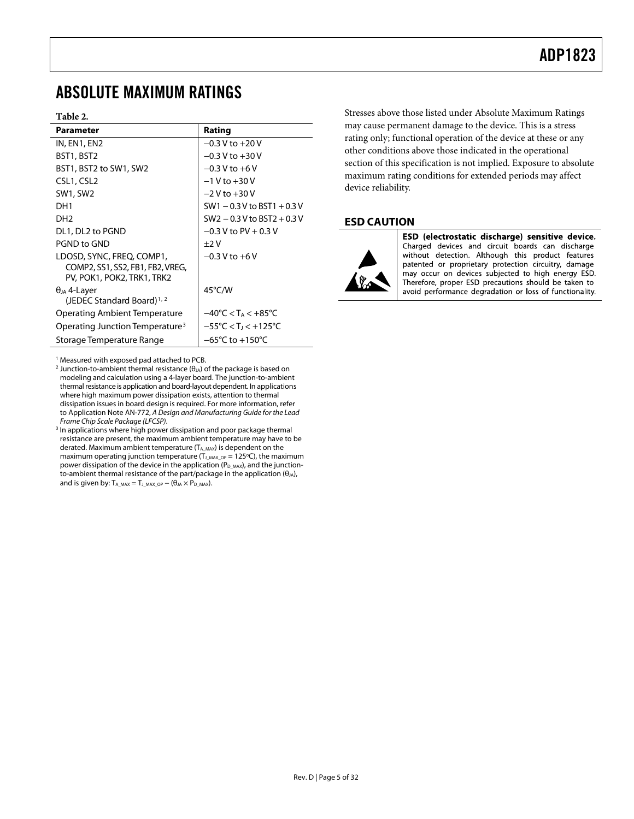### <span id="page-4-0"></span>ABSOLUTE MAXIMUM RATINGS

#### **Table 2.**

| <b>Parameter</b>                                      | Rating                                              |
|-------------------------------------------------------|-----------------------------------------------------|
| IN, EN1, EN2                                          | $-0.3$ V to $+20$ V                                 |
| BST1, BST2                                            | $-0.3$ V to $+30$ V                                 |
| BST1, BST2 to SW1, SW2                                | $-0.3 V$ to $+6 V$                                  |
| CSL1, CSL2                                            | $-1$ V to $+30$ V                                   |
| <b>SW1, SW2</b>                                       | $-2V$ to $+30V$                                     |
| DH <sub>1</sub>                                       | $SW1 - 0.3 V$ to BST1 + 0.3 V                       |
| DH <sub>2</sub>                                       | $SW2 - 0.3 V$ to BST2 + 0.3 V                       |
| DL1, DL2 to PGND                                      | $-0.3$ V to PV + 0.3 V                              |
| PGND to GND                                           | $+2V$                                               |
| LDOSD, SYNC, FREQ, COMP1,                             | $-0.3 V$ to $+6V$                                   |
| COMP2, SS1, SS2, FB1, FB2, VREG,                      |                                                     |
| PV, POK1, POK2, TRK1, TRK2                            |                                                     |
| $\theta_{JA}$ 4-Layer<br>(JEDEC Standard Board) $1/2$ | 45°C/W                                              |
| Operating Ambient Temperature                         | $-40^{\circ}$ C < T <sub>A</sub> < $+85^{\circ}$ C  |
| Operating Junction Temperature <sup>3</sup>           | $-55^{\circ}$ C < T <sub>1</sub> < $+125^{\circ}$ C |
| Storage Temperature Range                             | $-65^{\circ}$ C to +150 $^{\circ}$ C                |

<span id="page-4-1"></span>1 Measured with exposed pad attached to PCB.

<span id="page-4-2"></span><sup>2</sup> Junction-to-ambient thermal resistance (θ<sub>JA</sub>) of the package is based on modeling and calculation using a 4-layer board. The junction-to-ambient thermal resistance is application and board-layout dependent. In applications where high maximum power dissipation exists, attention to thermal dissipation issues in board design is required. For more information, refer to Application Note AN-772, A Design and Manufacturing Guide for the Lead Frame Chip Scale Package (LFCSP). 3

<span id="page-4-3"></span><sup>3</sup> In applications where high power dissipation and poor package thermal resistance are present, the maximum ambient temperature may have to be derated. Maximum ambient temperature  $(T_{A, MAX})$  is dependent on the maximum operating junction temperature ( $T_{J_MAX\_OP}$  = 125°C), the maximum power dissipation of the device in the application (P<sub>D\_MAX</sub>), and the junctionto-ambient thermal resistance of the part/package in the application  $(θ<sub>JA</sub>)$ , and is given by:  $T_{A\_MAX} = T_{J\_MAX\_OP} - (\theta_{JA} \times P_{D\_MAX}).$ 

Stresses above those listed under Absolute Maximum Ratings may cause permanent damage to the device. This is a stress rating only; functional operation of the device at these or any other conditions above those indicated in the operational section of this specification is not implied. Exposure to absolute maximum rating conditions for extended periods may affect device reliability.

#### **ESD CAUTION**



ESD (electrostatic discharge) sensitive device. Charged devices and circuit boards can discharge without detection. Although this product features patented or proprietary protection circuitry, damage may occur on devices subjected to high energy ESD. Therefore, proper ESD precautions should be taken to avoid performance degradation or loss of functionality.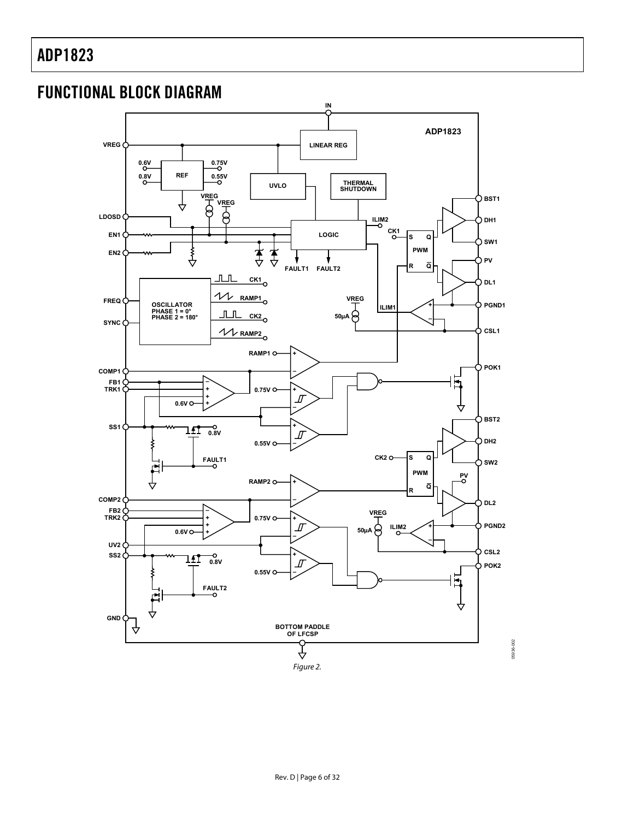### <span id="page-5-0"></span>FUNCTIONAL BLOCK DIAGRAM



05936-002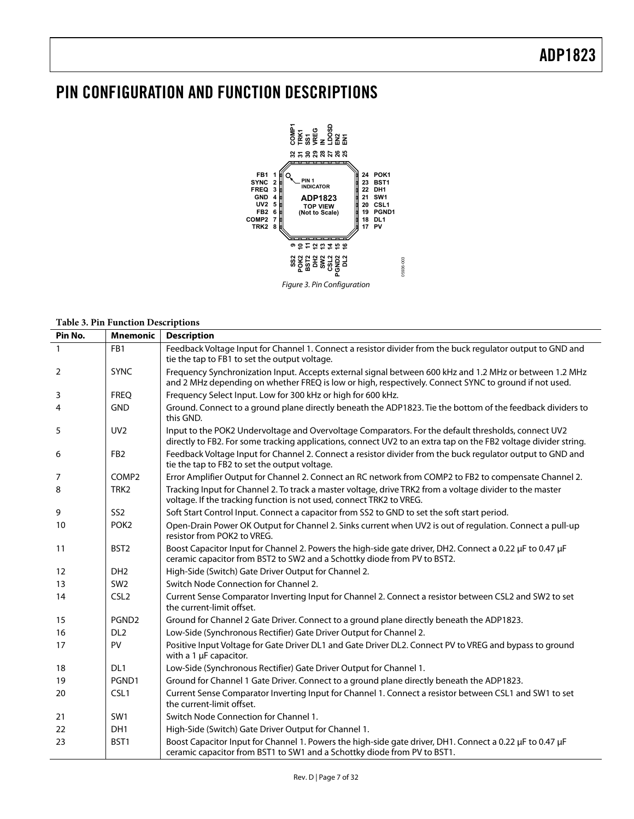### <span id="page-6-0"></span>PIN CONFIGURATION AND FUNCTION DESCRIPTIONS



#### **Table 3. Pin Function Descriptions**

| Pin No.      | <b>Mnemonic</b>   | <b>Description</b>                                                                                                                                                                                                     |
|--------------|-------------------|------------------------------------------------------------------------------------------------------------------------------------------------------------------------------------------------------------------------|
| $\mathbf{1}$ | FB <sub>1</sub>   | Feedback Voltage Input for Channel 1. Connect a resistor divider from the buck regulator output to GND and<br>tie the tap to FB1 to set the output voltage.                                                            |
| 2            | <b>SYNC</b>       | Frequency Synchronization Input. Accepts external signal between 600 kHz and 1.2 MHz or between 1.2 MHz<br>and 2 MHz depending on whether FREQ is low or high, respectively. Connect SYNC to ground if not used.       |
| 3            | <b>FREO</b>       | Frequency Select Input. Low for 300 kHz or high for 600 kHz.                                                                                                                                                           |
| 4            | <b>GND</b>        | Ground. Connect to a ground plane directly beneath the ADP1823. Tie the bottom of the feedback dividers to<br>this GND.                                                                                                |
| 5            | UV <sub>2</sub>   | Input to the POK2 Undervoltage and Overvoltage Comparators. For the default thresholds, connect UV2<br>directly to FB2. For some tracking applications, connect UV2 to an extra tap on the FB2 voltage divider string. |
| 6            | FB <sub>2</sub>   | Feedback Voltage Input for Channel 2. Connect a resistor divider from the buck regulator output to GND and<br>tie the tap to FB2 to set the output voltage.                                                            |
| 7            | COMP <sub>2</sub> | Error Amplifier Output for Channel 2. Connect an RC network from COMP2 to FB2 to compensate Channel 2.                                                                                                                 |
| 8            | TRK <sub>2</sub>  | Tracking Input for Channel 2. To track a master voltage, drive TRK2 from a voltage divider to the master<br>voltage. If the tracking function is not used, connect TRK2 to VREG.                                       |
| 9            | SS <sub>2</sub>   | Soft Start Control Input. Connect a capacitor from SS2 to GND to set the soft start period.                                                                                                                            |
| 10           | POK <sub>2</sub>  | Open-Drain Power OK Output for Channel 2. Sinks current when UV2 is out of regulation. Connect a pull-up<br>resistor from POK2 to VREG.                                                                                |
| 11           | BST <sub>2</sub>  | Boost Capacitor Input for Channel 2. Powers the high-side gate driver, DH2. Connect a 0.22 µF to 0.47 µF<br>ceramic capacitor from BST2 to SW2 and a Schottky diode from PV to BST2.                                   |
| 12           | DH <sub>2</sub>   | High-Side (Switch) Gate Driver Output for Channel 2.                                                                                                                                                                   |
| 13           | SW <sub>2</sub>   | Switch Node Connection for Channel 2.                                                                                                                                                                                  |
| 14           | CSL <sub>2</sub>  | Current Sense Comparator Inverting Input for Channel 2. Connect a resistor between CSL2 and SW2 to set<br>the current-limit offset.                                                                                    |
| 15           | PGND <sub>2</sub> | Ground for Channel 2 Gate Driver. Connect to a ground plane directly beneath the ADP1823.                                                                                                                              |
| 16           | DL <sub>2</sub>   | Low-Side (Synchronous Rectifier) Gate Driver Output for Channel 2.                                                                                                                                                     |
| 17           | PV                | Positive Input Voltage for Gate Driver DL1 and Gate Driver DL2. Connect PV to VREG and bypass to ground<br>with a 1 µF capacitor.                                                                                      |
| 18           | DL <sub>1</sub>   | Low-Side (Synchronous Rectifier) Gate Driver Output for Channel 1.                                                                                                                                                     |
| 19           | PGND1             | Ground for Channel 1 Gate Driver. Connect to a ground plane directly beneath the ADP1823.                                                                                                                              |
| 20           | CSL <sub>1</sub>  | Current Sense Comparator Inverting Input for Channel 1. Connect a resistor between CSL1 and SW1 to set<br>the current-limit offset.                                                                                    |
| 21           | SW1               | Switch Node Connection for Channel 1.                                                                                                                                                                                  |
| 22           | DH <sub>1</sub>   | High-Side (Switch) Gate Driver Output for Channel 1.                                                                                                                                                                   |
| 23           | BST <sub>1</sub>  | Boost Capacitor Input for Channel 1. Powers the high-side gate driver, DH1. Connect a 0.22 µF to 0.47 µF<br>ceramic capacitor from BST1 to SW1 and a Schottky diode from PV to BST1.                                   |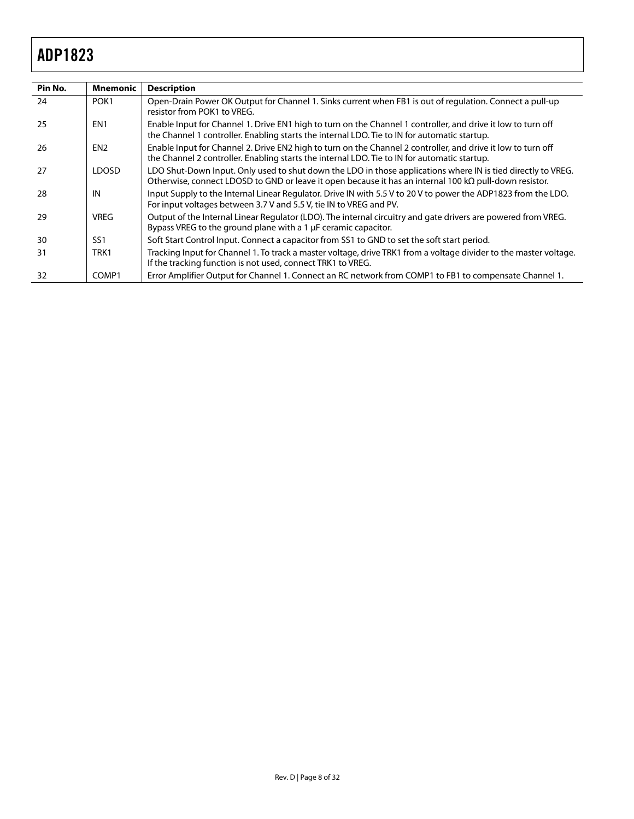| Pin No. | Mnemonic         | <b>Description</b>                                                                                                                                                                                                             |
|---------|------------------|--------------------------------------------------------------------------------------------------------------------------------------------------------------------------------------------------------------------------------|
| 24      | POK <sub>1</sub> | Open-Drain Power OK Output for Channel 1. Sinks current when FB1 is out of regulation. Connect a pull-up<br>resistor from POK1 to VREG.                                                                                        |
| 25      | EN <sub>1</sub>  | Enable Input for Channel 1. Drive EN1 high to turn on the Channel 1 controller, and drive it low to turn off<br>the Channel 1 controller. Enabling starts the internal LDO. Tie to IN for automatic startup.                   |
| 26      | EN <sub>2</sub>  | Enable Input for Channel 2. Drive EN2 high to turn on the Channel 2 controller, and drive it low to turn off<br>the Channel 2 controller. Enabling starts the internal LDO. Tie to IN for automatic startup.                   |
| 27      | <b>LDOSD</b>     | LDO Shut-Down Input. Only used to shut down the LDO in those applications where IN is tied directly to VREG.<br>Otherwise, connect LDOSD to GND or leave it open because it has an internal 100 k $\Omega$ pull-down resistor. |
| 28      | IN               | Input Supply to the Internal Linear Regulator. Drive IN with 5.5 V to 20 V to power the ADP1823 from the LDO.<br>For input voltages between 3.7 V and 5.5 V, tie IN to VREG and PV.                                            |
| 29      | <b>VREG</b>      | Output of the Internal Linear Regulator (LDO). The internal circuitry and gate drivers are powered from VREG.<br>Bypass VREG to the ground plane with a 1 µF ceramic capacitor.                                                |
| 30      | SS <sub>1</sub>  | Soft Start Control Input. Connect a capacitor from SS1 to GND to set the soft start period.                                                                                                                                    |
| 31      | TRK1             | Tracking Input for Channel 1. To track a master voltage, drive TRK1 from a voltage divider to the master voltage.<br>If the tracking function is not used, connect TRK1 to VREG.                                               |
| 32      | COMP1            | Error Amplifier Output for Channel 1. Connect an RC network from COMP1 to FB1 to compensate Channel 1.                                                                                                                         |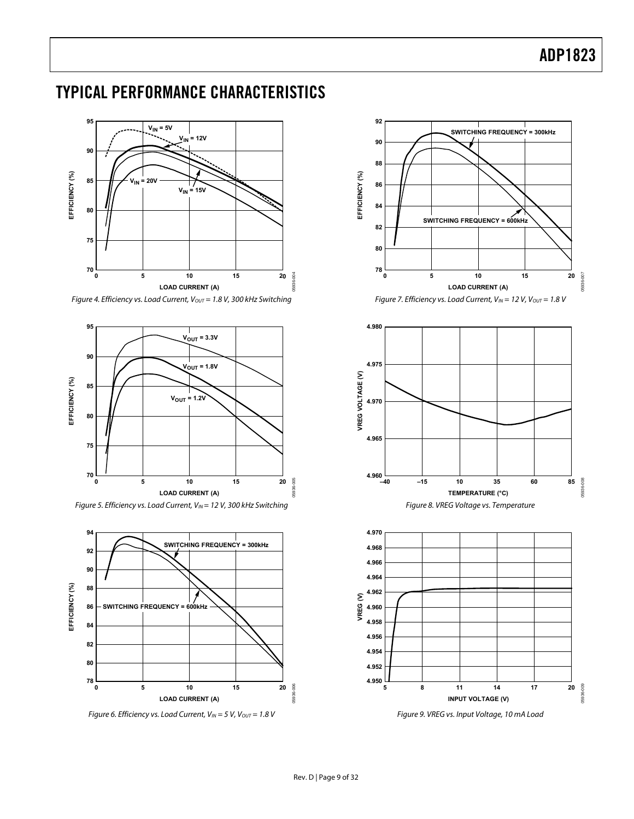### <span id="page-8-0"></span>TYPICAL PERFORMANCE CHARACTERISTICS



Figure 4. Efficiency vs. Load Current,  $V_{OUT} = 1.8$  V, 300 kHz Switching





Figure 6. Efficiency vs. Load Current,  $V_{IN} = 5$  V,  $V_{OUT} = 1.8$  V







Figure 9. VREG vs. Input Voltage, 10 mA Load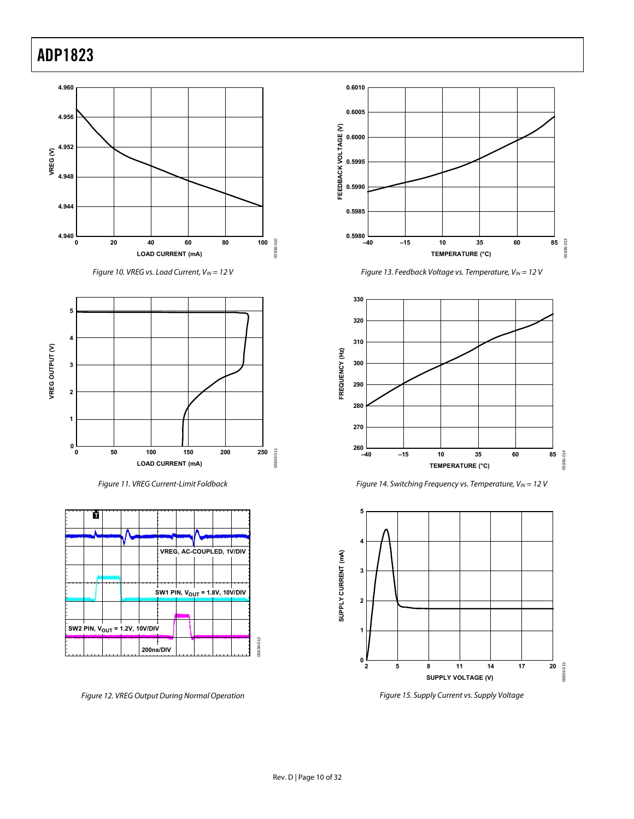

Figure 10. VREG vs. Load Current,  $V_{IN} = 12$  V



Figure 11. VREG Current-Limit Foldback



Figure 12. VREG Output During Normal Operation



Figure 13. Feedback Voltage vs. Temperature,  $V_{IN} = 12$  V



Figure 14. Switching Frequency vs. Temperature,  $V_{IN} = 12$  V



Figure 15. Supply Current vs. Supply Voltage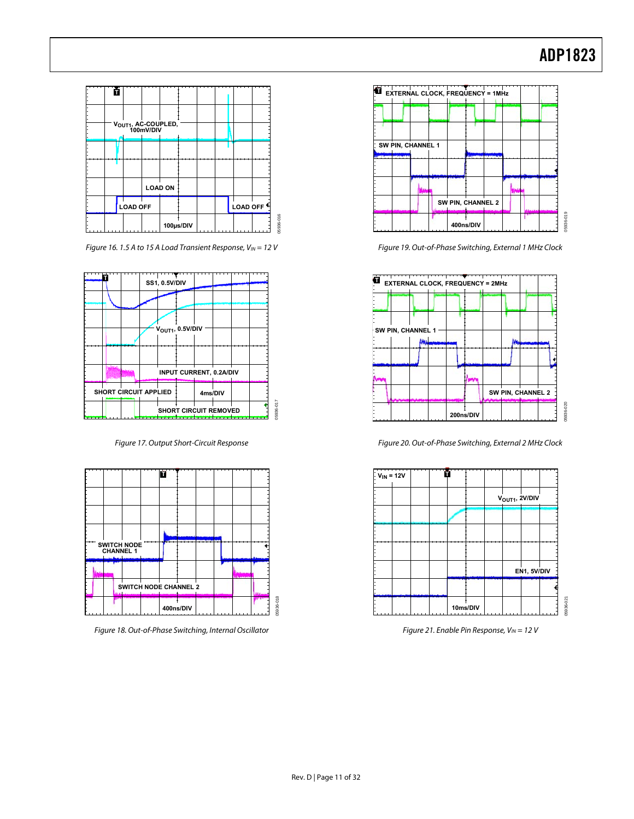

Figure 19. Out-of-Phase Switching, External 1 MHz Clock



Figure 20. Out-of-Phase Switching, External 2 MHz Clock



Figure 21. Enable Pin Response,  $V_{IN} = 12 V$ 



Figure 16. 1.5 A to 15 A Load Transient Response,  $V_{IN} = 12$  V



Figure 17. Output Short-Circuit Response



Figure 18. Out-of-Phase Switching, Internal Oscillator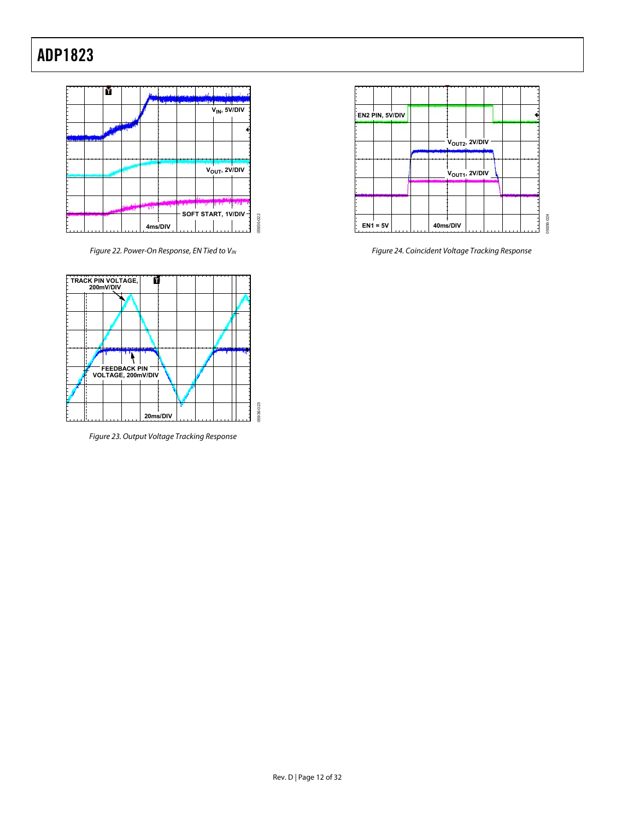

Figure 22. Power-On Response, EN Tied to VIN



Figure 24. Coincident Voltage Tracking Response



Figure 23. Output Voltage Tracking Response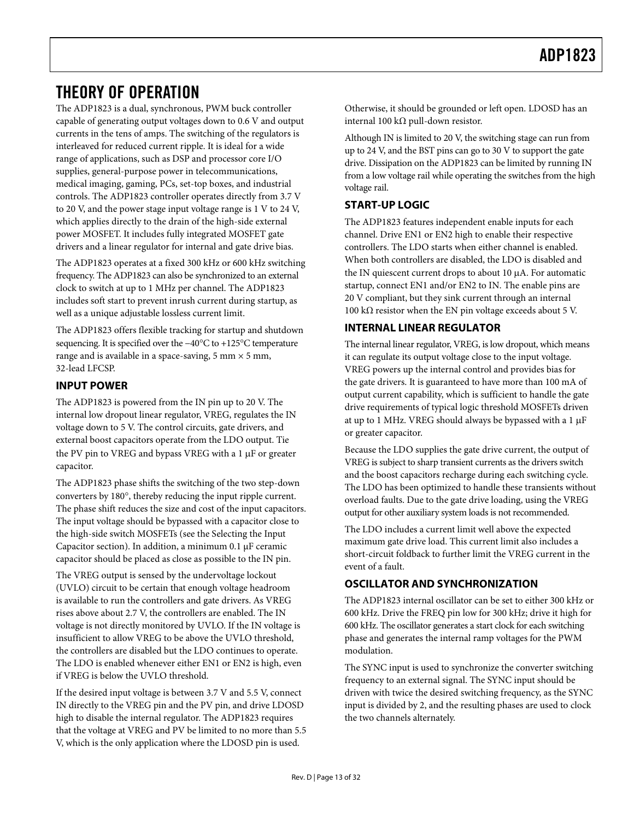### <span id="page-12-0"></span>THEORY OF OPERATION

The ADP1823 is a dual, synchronous, PWM buck controller capable of generating output voltages down to 0.6 V and output currents in the tens of amps. The switching of the regulators is interleaved for reduced current ripple. It is ideal for a wide range of applications, such as DSP and processor core I/O supplies, general-purpose power in telecommunications, medical imaging, gaming, PCs, set-top boxes, and industrial controls. The ADP1823 controller operates directly from 3.7 V to 20 V, and the power stage input voltage range is 1 V to 24 V, which applies directly to the drain of the high-side external power MOSFET. It includes fully integrated MOSFET gate drivers and a linear regulator for internal and gate drive bias.

The ADP1823 operates at a fixed 300 kHz or 600 kHz switching frequency. The ADP1823 can also be synchronized to an external clock to switch at up to 1 MHz per channel. The ADP1823 includes soft start to prevent inrush current during startup, as well as a unique adjustable lossless current limit.

The ADP1823 offers flexible tracking for startup and shutdown sequencing. It is specified over the −40°C to +125°C temperature range and is available in a space-saving,  $5 \text{ mm} \times 5 \text{ mm}$ , 32-lead LFCSP.

#### **INPUT POWER**

The ADP1823 is powered from the IN pin up to 20 V. The internal low dropout linear regulator, VREG, regulates the IN voltage down to 5 V. The control circuits, gate drivers, and external boost capacitors operate from the LDO output. Tie the PV pin to VREG and bypass VREG with a 1 μF or greater capacitor.

The ADP1823 phase shifts the switching of the two step-down converters by 180°, thereby reducing the input ripple current. The phase shift reduces the size and cost of the input capacitors. The input voltage should be bypassed with a capacitor close to the high-side switch MOSFETs (see the [Selecting the Input](#page-15-1)  [Capacitor](#page-15-1) section). In addition, a minimum 0.1 μF ceramic capacitor should be placed as close as possible to the IN pin.

The VREG output is sensed by the undervoltage lockout (UVLO) circuit to be certain that enough voltage headroom is available to run the controllers and gate drivers. As VREG rises above about 2.7 V, the controllers are enabled. The IN voltage is not directly monitored by UVLO. If the IN voltage is insufficient to allow VREG to be above the UVLO threshold, the controllers are disabled but the LDO continues to operate. The LDO is enabled whenever either EN1 or EN2 is high, even if VREG is below the UVLO threshold.

If the desired input voltage is between 3.7 V and 5.5 V, connect IN directly to the VREG pin and the PV pin, and drive LDOSD high to disable the internal regulator. The ADP1823 requires that the voltage at VREG and PV be limited to no more than 5.5 V, which is the only application where the LDOSD pin is used.

Otherwise, it should be grounded or left open. LDOSD has an internal 100 kΩ pull-down resistor.

Although IN is limited to 20 V, the switching stage can run from up to 24 V, and the BST pins can go to 30 V to support the gate drive. Dissipation on the ADP1823 can be limited by running IN from a low voltage rail while operating the switches from the high voltage rail.

### **START-UP LOGIC**

The ADP1823 features independent enable inputs for each channel. Drive EN1 or EN2 high to enable their respective controllers. The LDO starts when either channel is enabled. When both controllers are disabled, the LDO is disabled and the IN quiescent current drops to about 10 μA. For automatic startup, connect EN1 and/or EN2 to IN. The enable pins are 20 V compliant, but they sink current through an internal 100 kΩ resistor when the EN pin voltage exceeds about 5 V.

#### **INTERNAL LINEAR REGULATOR**

The internal linear regulator, VREG, is low dropout, which means it can regulate its output voltage close to the input voltage. VREG powers up the internal control and provides bias for the gate drivers. It is guaranteed to have more than 100 mA of output current capability, which is sufficient to handle the gate drive requirements of typical logic threshold MOSFETs driven at up to 1 MHz. VREG should always be bypassed with a 1 μF or greater capacitor.

Because the LDO supplies the gate drive current, the output of VREG is subject to sharp transient currents as the drivers switch and the boost capacitors recharge during each switching cycle. The LDO has been optimized to handle these transients without overload faults. Due to the gate drive loading, using the VREG output for other auxiliary system loads is not recommended.

The LDO includes a current limit well above the expected maximum gate drive load. This current limit also includes a short-circuit foldback to further limit the VREG current in the event of a fault.

### **OSCILLATOR AND SYNCHRONIZATION**

The ADP1823 internal oscillator can be set to either 300 kHz or 600 kHz. Drive the FREQ pin low for 300 kHz; drive it high for 600 kHz. The oscillator generates a start clock for each switching phase and generates the internal ramp voltages for the PWM modulation.

The SYNC input is used to synchronize the converter switching frequency to an external signal. The SYNC input should be driven with twice the desired switching frequency, as the SYNC input is divided by 2, and the resulting phases are used to clock the two channels alternately.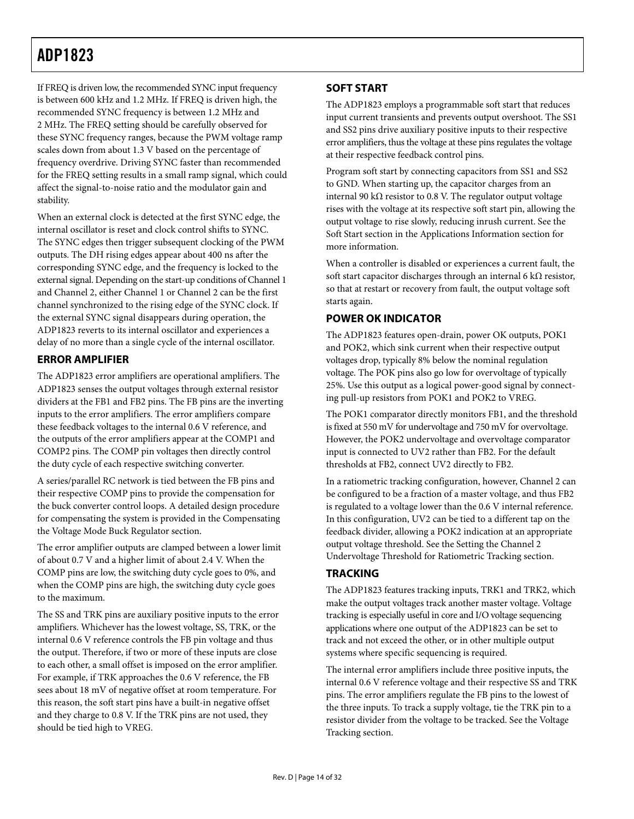<span id="page-13-0"></span>If FREQ is driven low, the recommended SYNC input frequency is between 600 kHz and 1.2 MHz. If FREQ is driven high, the recommended SYNC frequency is between 1.2 MHz and 2 MHz. The FREQ setting should be carefully observed for these SYNC frequency ranges, because the PWM voltage ramp scales down from about 1.3 V based on the percentage of frequency overdrive. Driving SYNC faster than recommended for the FREQ setting results in a small ramp signal, which could affect the signal-to-noise ratio and the modulator gain and stability.

When an external clock is detected at the first SYNC edge, the internal oscillator is reset and clock control shifts to SYNC. The SYNC edges then trigger subsequent clocking of the PWM outputs. The DH rising edges appear about 400 ns after the corresponding SYNC edge, and the frequency is locked to the external signal. Depending on the start-up conditions of Channel 1 and Channel 2, either Channel 1 or Channel 2 can be the first channel synchronized to the rising edge of the SYNC clock. If the external SYNC signal disappears during operation, the ADP1823 reverts to its internal oscillator and experiences a delay of no more than a single cycle of the internal oscillator.

#### **ERROR AMPLIFIER**

The ADP1823 error amplifiers are operational amplifiers. The ADP1823 senses the output voltages through external resistor dividers at the FB1 and FB2 pins. The FB pins are the inverting inputs to the error amplifiers. The error amplifiers compare these feedback voltages to the internal 0.6 V reference, and the outputs of the error amplifiers appear at the COMP1 and COMP2 pins. The COMP pin voltages then directly control the duty cycle of each respective switching converter.

A series/parallel RC network is tied between the FB pins and their respective COMP pins to provide the compensation for the buck converter control loops. A detailed design procedure for compensating the system is provided in the [Compensating](#page-18-1)  [the Voltage Mode Buck Regulator](#page-18-1) section.

The error amplifier outputs are clamped between a lower limit of about 0.7 V and a higher limit of about 2.4 V. When the COMP pins are low, the switching duty cycle goes to 0%, and when the COMP pins are high, the switching duty cycle goes to the maximum.

The SS and TRK pins are auxiliary positive inputs to the error amplifiers. Whichever has the lowest voltage, SS, TRK, or the internal 0.6 V reference controls the FB pin voltage and thus the output. Therefore, if two or more of these inputs are close to each other, a small offset is imposed on the error amplifier. For example, if TRK approaches the 0.6 V reference, the FB sees about 18 mV of negative offset at room temperature. For this reason, the soft start pins have a built-in negative offset and they charge to 0.8 V. If the TRK pins are not used, they should be tied high to VREG.

### **SOFT START**

The ADP1823 employs a programmable soft start that reduces input current transients and prevents output overshoot. The SS1 and SS2 pins drive auxiliary positive inputs to their respective error amplifiers, thus the voltage at these pins regulates the voltage at their respective feedback control pins.

Program soft start by connecting capacitors from SS1 and SS2 to GND. When starting up, the capacitor charges from an internal 90 kΩ resistor to 0.8 V. The regulator output voltage rises with the voltage at its respective soft start pin, allowing the output voltage to rise slowly, reducing inrush current. See the [Soft Start](#page-21-1) section in the [Applications Information](#page-15-2) section for more information.

When a controller is disabled or experiences a current fault, the soft start capacitor discharges through an internal 6 kΩ resistor, so that at restart or recovery from fault, the output voltage soft starts again.

### **POWER OK INDICATOR**

The ADP1823 features open-drain, power OK outputs, POK1 and POK2, which sink current when their respective output voltages drop, typically 8% below the nominal regulation voltage. The POK pins also go low for overvoltage of typically 25%. Use this output as a logical power-good signal by connecting pull-up resistors from POK1 and POK2 to VREG.

The POK1 comparator directly monitors FB1, and the threshold is fixed at 550 mV for undervoltage and 750 mV for overvoltage. However, the POK2 undervoltage and overvoltage comparator input is connected to UV2 rather than FB2. For the default thresholds at FB2, connect UV2 directly to FB2.

In a ratiometric tracking configuration, however, Channel 2 can be configured to be a fraction of a master voltage, and thus FB2 is regulated to a voltage lower than the 0.6 V internal reference. In this configuration, UV2 can be tied to a different tap on the feedback divider, allowing a POK2 indication at an appropriate output voltage threshold. See the [Setting the Channel 2](#page-23-1)  [Undervoltage Threshold for Ratiometric Tracking](#page-23-1) section.

### **TRACKING**

The ADP1823 features tracking inputs, TRK1 and TRK2, which make the output voltages track another master voltage. Voltage tracking is especially useful in core and I/O voltage sequencing applications where one output of the ADP1823 can be set to track and not exceed the other, or in other multiple output systems where specific sequencing is required.

The internal error amplifiers include three positive inputs, the internal 0.6 V reference voltage and their respective SS and TRK pins. The error amplifiers regulate the FB pins to the lowest of the three inputs. To track a supply voltage, tie the TRK pin to a resistor divider from the voltage to be tracked. See the [Voltage](#page-21-2)  [Tracking](#page-21-2) section.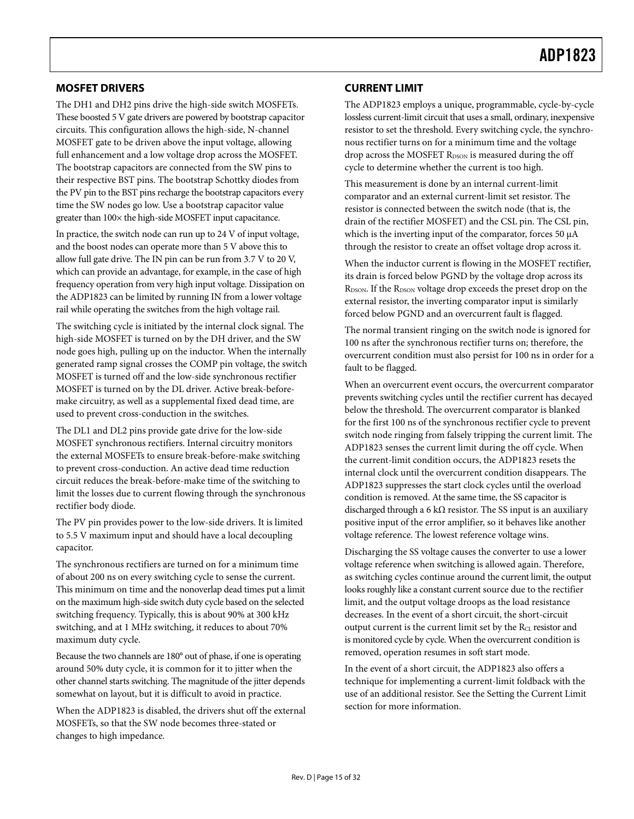#### <span id="page-14-0"></span>**MOSFET DRIVERS**

The DH1 and DH2 pins drive the high-side switch MOSFETs. These boosted 5 V gate drivers are powered by bootstrap capacitor circuits. This configuration allows the high-side, N-channel MOSFET gate to be driven above the input voltage, allowing full enhancement and a low voltage drop across the MOSFET. The bootstrap capacitors are connected from the SW pins to their respective BST pins. The bootstrap Schottky diodes from the PV pin to the BST pins recharge the bootstrap capacitors every time the SW nodes go low. Use a bootstrap capacitor value greater than 100× the high-side MOSFET input capacitance.

In practice, the switch node can run up to 24 V of input voltage, and the boost nodes can operate more than 5 V above this to allow full gate drive. The IN pin can be run from 3.7 V to 20 V, which can provide an advantage, for example, in the case of high frequency operation from very high input voltage. Dissipation on the ADP1823 can be limited by running IN from a lower voltage rail while operating the switches from the high voltage rail.

The switching cycle is initiated by the internal clock signal. The high-side MOSFET is turned on by the DH driver, and the SW node goes high, pulling up on the inductor. When the internally generated ramp signal crosses the COMP pin voltage, the switch MOSFET is turned off and the low-side synchronous rectifier MOSFET is turned on by the DL driver. Active break-beforemake circuitry, as well as a supplemental fixed dead time, are used to prevent cross-conduction in the switches.

The DL1 and DL2 pins provide gate drive for the low-side MOSFET synchronous rectifiers. Internal circuitry monitors the external MOSFETs to ensure break-before-make switching to prevent cross-conduction. An active dead time reduction circuit reduces the break-before-make time of the switching to limit the losses due to current flowing through the synchronous rectifier body diode.

The PV pin provides power to the low-side drivers. It is limited to 5.5 V maximum input and should have a local decoupling capacitor.

The synchronous rectifiers are turned on for a minimum time of about 200 ns on every switching cycle to sense the current. This minimum on time and the nonoverlap dead times put a limit on the maximum high-side switch duty cycle based on the selected switching frequency. Typically, this is about 90% at 300 kHz switching, and at 1 MHz switching, it reduces to about 70% maximum duty cycle.

Because the two channels are 180° out of phase, if one is operating around 50% duty cycle, it is common for it to jitter when the other channel starts switching. The magnitude of the jitter depends somewhat on layout, but it is difficult to avoid in practice.

When the ADP1823 is disabled, the drivers shut off the external MOSFETs, so that the SW node becomes three-stated or changes to high impedance.

#### **CURRENT LIMIT**

The ADP1823 employs a unique, programmable, cycle-by-cycle lossless current-limit circuit that uses a small, ordinary, inexpensive resistor to set the threshold. Every switching cycle, the synchronous rectifier turns on for a minimum time and the voltage drop across the MOSFET RDSON is measured during the off cycle to determine whether the current is too high.

This measurement is done by an internal current-limit comparator and an external current-limit set resistor. The resistor is connected between the switch node (that is, the drain of the rectifier MOSFET) and the CSL pin. The CSL pin, which is the inverting input of the comparator, forces 50 μA through the resistor to create an offset voltage drop across it.

When the inductor current is flowing in the MOSFET rectifier, its drain is forced below PGND by the voltage drop across its RDSON. If the RDSON voltage drop exceeds the preset drop on the external resistor, the inverting comparator input is similarly forced below PGND and an overcurrent fault is flagged.

The normal transient ringing on the switch node is ignored for 100 ns after the synchronous rectifier turns on; therefore, the overcurrent condition must also persist for 100 ns in order for a fault to be flagged.

When an overcurrent event occurs, the overcurrent comparator prevents switching cycles until the rectifier current has decayed below the threshold. The overcurrent comparator is blanked for the first 100 ns of the synchronous rectifier cycle to prevent switch node ringing from falsely tripping the current limit. The ADP1823 senses the current limit during the off cycle. When the current-limit condition occurs, the ADP1823 resets the internal clock until the overcurrent condition disappears. The ADP1823 suppresses the start clock cycles until the overload condition is removed. At the same time, the SS capacitor is discharged through a 6 k $\Omega$  resistor. The SS input is an auxiliary positive input of the error amplifier, so it behaves like another voltage reference. The lowest reference voltage wins.

Discharging the SS voltage causes the converter to use a lower voltage reference when switching is allowed again. Therefore, as switching cycles continue around the current limit, the output looks roughly like a constant current source due to the rectifier limit, and the output voltage droops as the load resistance decreases. In the event of a short circuit, the short-circuit output current is the current limit set by the R<sub>CL</sub> resistor and is monitored cycle by cycle. When the overcurrent condition is removed, operation resumes in soft start mode.

In the event of a short circuit, the ADP1823 also offers a technique for implementing a current-limit foldback with the use of an additional resistor. See the [Setting the Current Limit](#page-17-1) section for more information.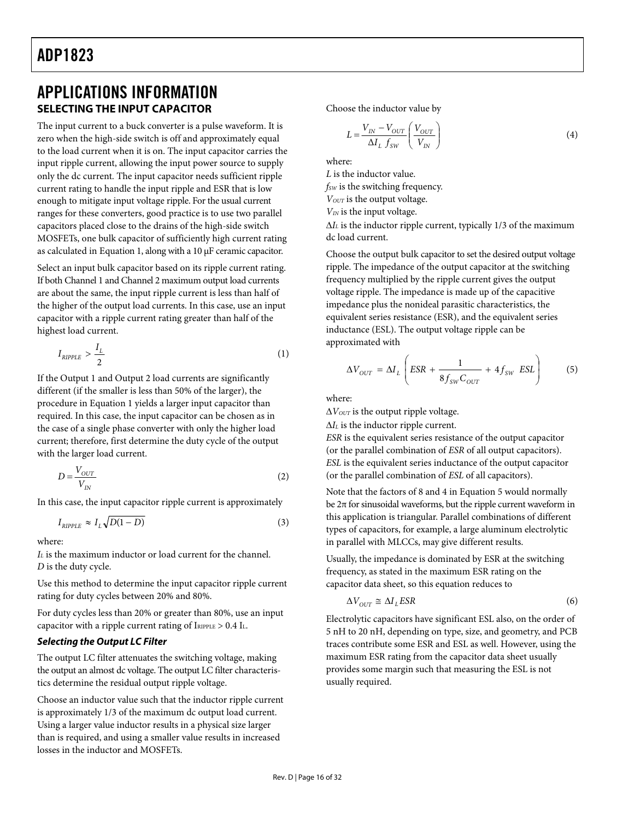### <span id="page-15-2"></span><span id="page-15-0"></span>APPLICATIONS INFORMATION **SELECTING THE INPUT CAPACITOR**

<span id="page-15-1"></span>The input current to a buck converter is a pulse waveform. It is zero when the high-side switch is off and approximately equal to the load current when it is on. The input capacitor carries the input ripple current, allowing the input power source to supply only the dc current. The input capacitor needs sufficient ripple current rating to handle the input ripple and ESR that is low enough to mitigate input voltage ripple. For the usual current ranges for these converters, good practice is to use two parallel capacitors placed close to the drains of the high-side switch MOSFETs, one bulk capacitor of sufficiently high current rating as calculated in Equation 1, along with a 10 μF ceramic capacitor.

Select an input bulk capacitor based on its ripple current rating. If both Channel 1 and Channel 2 maximum output load currents are about the same, the input ripple current is less than half of the higher of the output load currents. In this case, use an input capacitor with a ripple current rating greater than half of the highest load current.

$$
I_{RIPPLE} > \frac{I_L}{2} \tag{1}
$$

If the Output 1 and Output 2 load currents are significantly different (if the smaller is less than 50% of the larger), the procedure in Equation 1 yields a larger input capacitor than required. In this case, the input capacitor can be chosen as in the case of a single phase converter with only the higher load current; therefore, first determine the duty cycle of the output with the larger load current.

$$
D = \frac{V_{OUT}}{V_{IN}}\tag{2}
$$

In this case, the input capacitor ripple current is approximately

$$
I_{RIPPLE} \approx I_L \sqrt{D(1-D)}\tag{3}
$$

where:

*I<sub>L</sub>* is the maximum inductor or load current for the channel. *D* is the duty cycle.

Use this method to determine the input capacitor ripple current rating for duty cycles between 20% and 80%.

For duty cycles less than 20% or greater than 80%, use an input capacitor with a ripple current rating of  $I_{RIPILE} > 0.4 I_{L}$ .

#### **Selecting the Output LC Filter**

The output LC filter attenuates the switching voltage, making the output an almost dc voltage. The output LC filter characteristics determine the residual output ripple voltage.

Choose an inductor value such that the inductor ripple current is approximately 1/3 of the maximum dc output load current. Using a larger value inductor results in a physical size larger than is required, and using a smaller value results in increased losses in the inductor and MOSFETs.

Choose the inductor value by

$$
L = \frac{V_{IN} - V_{OUT}}{\Delta I_L f_{SW}} \left(\frac{V_{OUT}}{V_{IN}}\right)
$$
 (4)

where:

*L* is the inductor value.

*fSW* is the switching frequency.

*V<sub>OUT</sub>* is the output voltage.

*VIN* is the input voltage.

Δ*IL* is the inductor ripple current, typically 1/3 of the maximum dc load current.

Choose the output bulk capacitor to set the desired output voltage ripple. The impedance of the output capacitor at the switching frequency multiplied by the ripple current gives the output voltage ripple. The impedance is made up of the capacitive impedance plus the nonideal parasitic characteristics, the equivalent series resistance (ESR), and the equivalent series inductance (ESL). The output voltage ripple can be approximated with

$$
\Delta V_{OUT} = \Delta I_L \left( ESR + \frac{1}{8f_{SW}C_{OUT}} + 4f_{SW} ESL \right) \tag{5}
$$

where:

 $\Delta V_{OUT}$  is the output ripple voltage.

Δ*IL* is the inductor ripple current.

*ESR* is the equivalent series resistance of the output capacitor (or the parallel combination of *ESR* of all output capacitors). *ESL* is the equivalent series inductance of the output capacitor (or the parallel combination of *ESL* of all capacitors).

Note that the factors of 8 and 4 in Equation 5 would normally be  $2\pi$  for sinusoidal waveforms, but the ripple current waveform in this application is triangular. Parallel combinations of different types of capacitors, for example, a large aluminum electrolytic in parallel with MLCCs, may give different results.

Usually, the impedance is dominated by ESR at the switching frequency, as stated in the maximum ESR rating on the capacitor data sheet, so this equation reduces to

$$
\Delta V_{OUT} \cong \Delta I_L ESR \tag{6}
$$

Electrolytic capacitors have significant ESL also, on the order of 5 nH to 20 nH, depending on type, size, and geometry, and PCB traces contribute some ESR and ESL as well. However, using the maximum ESR rating from the capacitor data sheet usually provides some margin such that measuring the ESL is not usually required.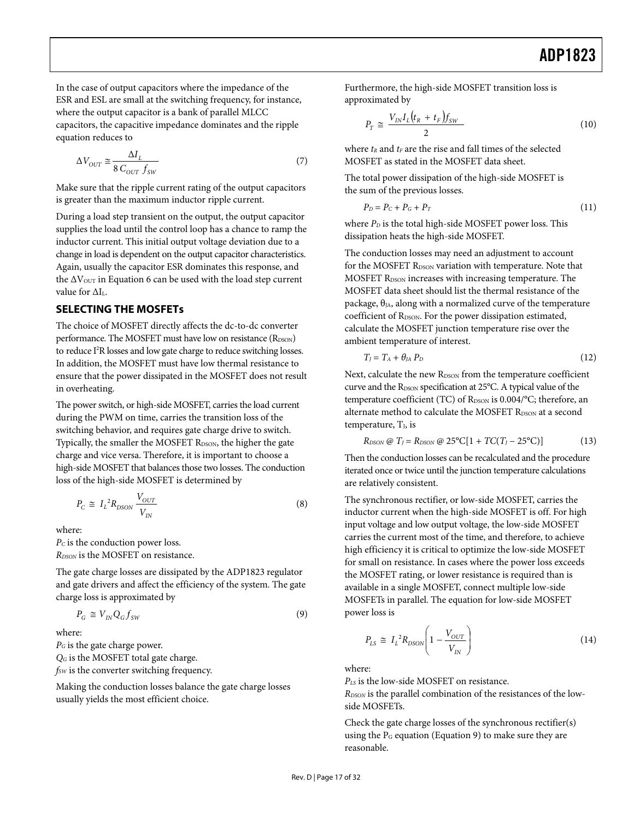<span id="page-16-0"></span>In the case of output capacitors where the impedance of the ESR and ESL are small at the switching frequency, for instance, where the output capacitor is a bank of parallel MLCC capacitors, the capacitive impedance dominates and the ripple equation reduces to

$$
\Delta V_{OUT} \cong \frac{\Delta I_L}{8 \, C_{OUT} \, f_{SW}}\tag{7}
$$

Make sure that the ripple current rating of the output capacitors is greater than the maximum inductor ripple current.

During a load step transient on the output, the output capacitor supplies the load until the control loop has a chance to ramp the inductor current. This initial output voltage deviation due to a change in load is dependent on the output capacitor characteristics. Again, usually the capacitor ESR dominates this response, and the  $\Delta V_{\text{OUT}}$  in Equation 6 can be used with the load step current value for ΔIL.

#### **SELECTING THE MOSFETs**

The choice of MOSFET directly affects the dc-to-dc converter performance. The MOSFET must have low on resistance  $(R_{DSON})$ to reduce I<sup>2</sup>R losses and low gate charge to reduce switching losses. In addition, the MOSFET must have low thermal resistance to ensure that the power dissipated in the MOSFET does not result in overheating.

The power switch, or high-side MOSFET, carries the load current during the PWM on time, carries the transition loss of the switching behavior, and requires gate charge drive to switch. Typically, the smaller the MOSFET RDSON, the higher the gate charge and vice versa. Therefore, it is important to choose a high-side MOSFET that balances those two losses. The conduction loss of the high-side MOSFET is determined by

$$
P_C \cong I_L^2 R_{DSON} \frac{V_{OUT}}{V_{IN}}
$$
 (8)

where:

*P<sub>C</sub>* is the conduction power loss. *RDSON* is the MOSFET on resistance.

The gate charge losses are dissipated by the ADP1823 regulator and gate drivers and affect the efficiency of the system. The gate charge loss is approximated by

$$
P_G \cong V_{IN} Q_G f_{SW} \tag{9}
$$

where:

*PG* is the gate charge power. *QG* is the MOSFET total gate charge. *fSW* is the converter switching frequency.

Making the conduction losses balance the gate charge losses usually yields the most efficient choice.

Furthermore, the high-side MOSFET transition loss is approximated by

$$
P_T \cong \frac{V_{IN}I_L(t_R + t_F)f_{SW}}{2} \tag{10}
$$

where  $t_R$  and  $t_F$  are the rise and fall times of the selected MOSFET as stated in the MOSFET data sheet.

The total power dissipation of the high-side MOSFET is the sum of the previous losses.

$$
P_D = P_C + P_G + P_T \tag{11}
$$

where  $P_D$  is the total high-side MOSFET power loss. This dissipation heats the high-side MOSFET.

The conduction losses may need an adjustment to account for the MOSFET R<sub>DSON</sub> variation with temperature. Note that MOSFET R<sub>DSON</sub> increases with increasing temperature. The MOSFET data sheet should list the thermal resistance of the package,  $\theta_{IA}$ , along with a normalized curve of the temperature coefficient of R<sub>DSON</sub>. For the power dissipation estimated, calculate the MOSFET junction temperature rise over the ambient temperature of interest.

$$
T_J = T_A + \theta_{JA} P_D \tag{12}
$$

Next, calculate the new R<sub>DSON</sub> from the temperature coefficient curve and the R<sub>DSON</sub> specification at 25°C. A typical value of the temperature coefficient (TC) of R<sub>DSON</sub> is 0.004/°C; therefore, an alternate method to calculate the MOSFET R<sub>DSON</sub> at a second temperature,  $T_J$ , is

$$
R_{DSON} \,\textcircled{a} \,\, T_J = R_{DSON} \,\textcircled{a} \,\, 25^{\circ} \text{C} \left[ 1 + TC(T_J - 25^{\circ} \text{C}) \right] \tag{13}
$$

Then the conduction losses can be recalculated and the procedure iterated once or twice until the junction temperature calculations are relatively consistent.

The synchronous rectifier, or low-side MOSFET, carries the inductor current when the high-side MOSFET is off. For high input voltage and low output voltage, the low-side MOSFET carries the current most of the time, and therefore, to achieve high efficiency it is critical to optimize the low-side MOSFET for small on resistance. In cases where the power loss exceeds the MOSFET rating, or lower resistance is required than is available in a single MOSFET, connect multiple low-side MOSFETs in parallel. The equation for low-side MOSFET power loss is

$$
P_{LS} \cong I_L^{2} R_{DSON} \left( 1 - \frac{V_{OUT}}{V_{IN}} \right)
$$
 (14)

where:

*PLS* is the low-side MOSFET on resistance.

*RDSON* is the parallel combination of the resistances of the lowside MOSFETs.

Check the gate charge losses of the synchronous rectifier(s) using the  $P_G$  equation (Equation 9) to make sure they are reasonable.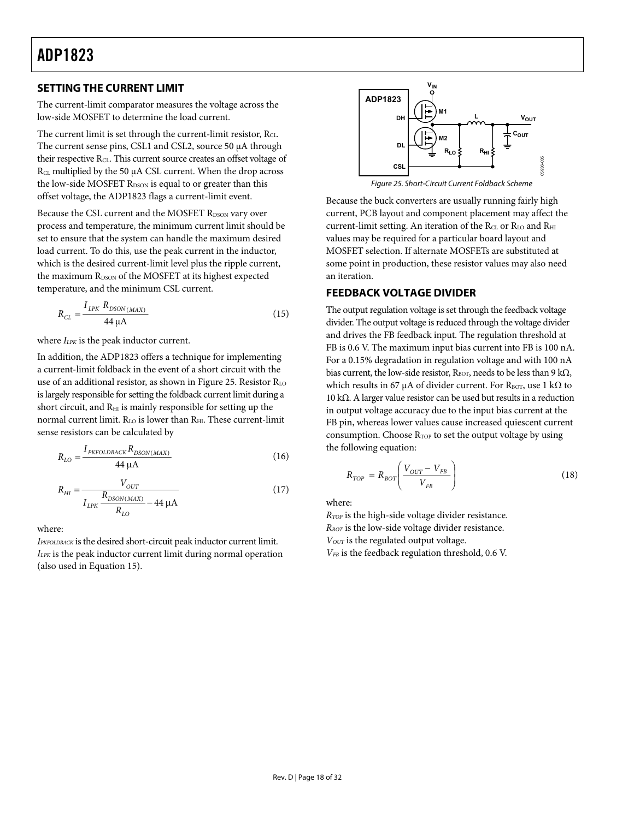#### <span id="page-17-1"></span><span id="page-17-0"></span>**SETTING THE CURRENT LIMIT**

The current-limit comparator measures the voltage across the low-side MOSFET to determine the load current.

The current limit is set through the current-limit resistor,  $R_{CL}$ . The current sense pins, CSL1 and CSL2, source 50 μA through their respective R<sub>CL</sub>. This current source creates an offset voltage of  $R<sub>CL</sub>$  multiplied by the 50 μA CSL current. When the drop across the low-side MOSFET RDSON is equal to or greater than this offset voltage, the ADP1823 flags a current-limit event.

<span id="page-17-2"></span>Because the CSL current and the MOSFET R<sub>DSON</sub> vary over process and temperature, the minimum current limit should be set to ensure that the system can handle the maximum desired load current. To do this, use the peak current in the inductor, which is the desired current-limit level plus the ripple current, the maximum R<sub>DSON</sub> of the MOSFET at its highest expected temperature, and the minimum CSL current.

$$
R_{CL} = \frac{I_{LPK} R_{DSON(MAX)}}{44 \mu A}
$$
 (15)

where  $I_{LPK}$  is the peak inductor current.

In addition, the ADP1823 offers a technique for implementing a current-limit foldback in the event of a short circuit with the use of an additional resistor, as shown in [Figure 25.](#page-17-2) Resistor RLO is largely responsible for setting the foldback current limit during a short circuit, and  $R<sub>HI</sub>$  is mainly responsible for setting up the normal current limit. R<sub>LO</sub> is lower than R<sub>HI</sub>. These current-limit sense resistors can be calculated by

$$
R_{LO} = \frac{I_{PKFOLDBACK} R_{DSON(MAX)}}{44 \mu A}
$$
 (16)

$$
R_{HI} = \frac{V_{OUT}}{I_{LPK} \frac{R_{DSON(MAX)}}{R_{LO}} - 44 \,\mu\text{A}}\tag{17}
$$

where:

*IPKFOLDBACK* is the desired short-circuit peak inductor current limit. *ILPK* is the peak inductor current limit during normal operation (also used in Equation 15).



Because the buck converters are usually running fairly high current, PCB layout and component placement may affect the current-limit setting. An iteration of the  $R_{CL}$  or  $R_{LO}$  and  $R_{HI}$ values may be required for a particular board layout and MOSFET selection. If alternate MOSFETs are substituted at some point in production, these resistor values may also need an iteration.

#### **FEEDBACK VOLTAGE DIVIDER**

The output regulation voltage is set through the feedback voltage divider. The output voltage is reduced through the voltage divider and drives the FB feedback input. The regulation threshold at FB is 0.6 V. The maximum input bias current into FB is 100 nA. For a 0.15% degradation in regulation voltage and with 100 nA bias current, the low-side resistor,  $R_{\text{BOT}}$ , needs to be less than 9 k $\Omega$ , which results in 67 μA of divider current. For R<sub>BOT</sub>, use 1 kΩ to 10 kΩ. A larger value resistor can be used but results in a reduction in output voltage accuracy due to the input bias current at the FB pin, whereas lower values cause increased quiescent current consumption. Choose R<sub>TOP</sub> to set the output voltage by using the following equation:

$$
R_{TOP} = R_{BOT} \left( \frac{V_{OUT} - V_{FB}}{V_{FB}} \right) \tag{18}
$$

where:

*RTOP* is the high-side voltage divider resistance. *RBOT* is the low-side voltage divider resistance. *V<sub>OUT</sub>* is the regulated output voltage.  $V_{FB}$  is the feedback regulation threshold, 0.6 V.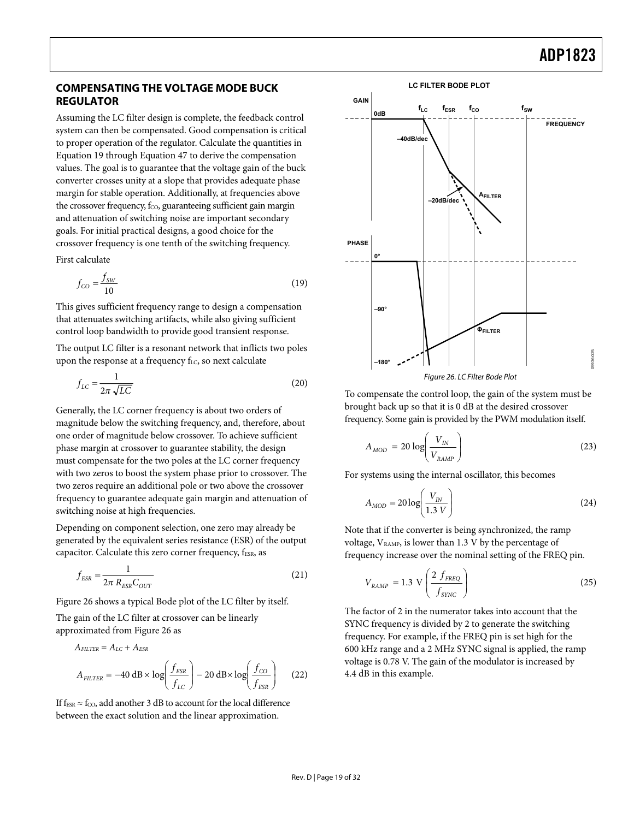#### <span id="page-18-1"></span><span id="page-18-0"></span>**COMPENSATING THE VOLTAGE MODE BUCK REGULATOR**

Assuming the LC filter design is complete, the feedback control system can then be compensated. Good compensation is critical to proper operation of the regulator. Calculate the quantities in Equation 19 through Equation 47 to derive the compensation values. The goal is to guarantee that the voltage gain of the buck converter crosses unity at a slope that provides adequate phase margin for stable operation. Additionally, at frequencies above the crossover frequency, fco, guaranteeing sufficient gain margin and attenuation of switching noise are important secondary goals. For initial practical designs, a good choice for the crossover frequency is one tenth of the switching frequency.

First calculate

$$
f_{CO} = \frac{f_{SW}}{10} \tag{19}
$$

This gives sufficient frequency range to design a compensation that attenuates switching artifacts, while also giving sufficient control loop bandwidth to provide good transient response.

<span id="page-18-2"></span>The output LC filter is a resonant network that inflicts two poles upon the response at a frequency  $f_{LC}$ , so next calculate

$$
f_{LC} = \frac{1}{2\pi\sqrt{LC}}\tag{20}
$$

Generally, the LC corner frequency is about two orders of magnitude below the switching frequency, and, therefore, about one order of magnitude below crossover. To achieve sufficient phase margin at crossover to guarantee stability, the design must compensate for the two poles at the LC corner frequency with two zeros to boost the system phase prior to crossover. The two zeros require an additional pole or two above the crossover frequency to guarantee adequate gain margin and attenuation of switching noise at high frequencies.

Depending on component selection, one zero may already be generated by the equivalent series resistance (ESR) of the output capacitor. Calculate this zero corner frequency,  $f_{ESR}$ , as

$$
f_{ESR} = \frac{1}{2\pi R_{ESR} C_{OUT}}\tag{21}
$$

[Figure 26](#page-18-2) shows a typical Bode plot of the LC filter by itself.

The gain of the LC filter at crossover can be linearly approximated from [Figure 26](#page-18-2) as

*AFILTER* = *ALC* + *AESR*

$$
A_{FILTER} = A_{LC} + A_{ESR}
$$
  

$$
A_{FILTER} = -40 \text{ dB} \times \log \left( \frac{f_{ESR}}{f_{LC}} \right) - 20 \text{ dB} \times \log \left( \frac{f_{CO}}{f_{ESR}} \right) \tag{22}
$$

If  $f_{ESR} \approx f_{CO}$ , add another 3 dB to account for the local difference between the exact solution and the linear approximation.



To compensate the control loop, the gain of the system must be brought back up so that it is 0 dB at the desired crossover frequency. Some gain is provided by the PWM modulation itself.

$$
A_{MOD} = 20 \log \left( \frac{V_{IN}}{V_{RAMP}} \right) \tag{23}
$$

For systems using the internal oscillator, this becomes

$$
A_{MOD} = 20 \log \left( \frac{V_{IN}}{1.3 \ V} \right) \tag{24}
$$

Note that if the converter is being synchronized, the ramp voltage,  $V_{RAMP}$ , is lower than 1.3 V by the percentage of frequency increase over the nominal setting of the FREQ pin.

$$
V_{RAMP} = 1.3 \text{ V} \left( \frac{2 f_{FREQ}}{f_{SYNC}} \right) \tag{25}
$$

The factor of 2 in the numerator takes into account that the SYNC frequency is divided by 2 to generate the switching frequency. For example, if the FREQ pin is set high for the 600 kHz range and a 2 MHz SYNC signal is applied, the ramp voltage is 0.78 V. The gain of the modulator is increased by 4.4 dB in this example.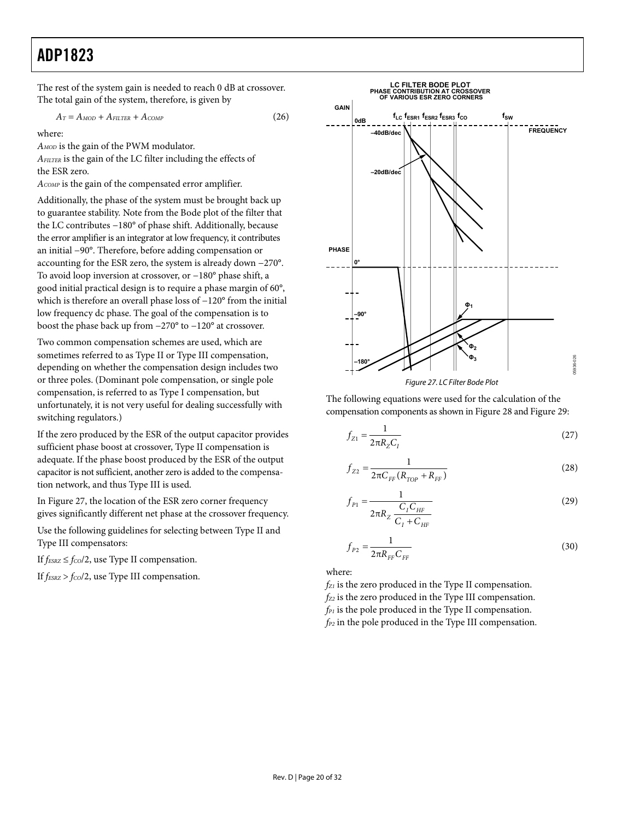The rest of the system gain is needed to reach 0 dB at crossover. The total gain of the system, therefore, is given by

 $A_T = A_{MOD} + A_{FILTER} + A_{COMP}$  (26)

where:

*AMOD* is the gain of the PWM modulator.

*AFILTER* is the gain of the LC filter including the effects of the ESR zero.

*ACOMP* is the gain of the compensated error amplifier.

Additionally, the phase of the system must be brought back up to guarantee stability. Note from the Bode plot of the filter that the LC contributes −180° of phase shift. Additionally, because the error amplifier is an integrator at low frequency, it contributes an initial −90°. Therefore, before adding compensation or accounting for the ESR zero, the system is already down −270°. To avoid loop inversion at crossover, or −180° phase shift, a good initial practical design is to require a phase margin of 60°, which is therefore an overall phase loss of −120° from the initial low frequency dc phase. The goal of the compensation is to boost the phase back up from −270° to −120° at crossover.

<span id="page-19-0"></span>Two common compensation schemes are used, which are sometimes referred to as Type II or Type III compensation, depending on whether the compensation design includes two or three poles. (Dominant pole compensation, or single pole compensation, is referred to as Type I compensation, but unfortunately, it is not very useful for dealing successfully with switching regulators.)

If the zero produced by the ESR of the output capacitor provides sufficient phase boost at crossover, Type II compensation is adequate. If the phase boost produced by the ESR of the output capacitor is not sufficient, another zero is added to the compensation network, and thus Type III is used.

In [Figure 27](#page-19-0), the location of the ESR zero corner frequency gives significantly different net phase at the crossover frequency.

Use the following guidelines for selecting between Type II and Type III compensators:

If  $f_{ESRZ} \le f_{CO}/2$ , use Type II compensation.

If  $f_{ESRZ}$  >  $f_{CO}/2$ , use Type III compensation.



The following equations were used for the calculation of the compensation components as shown in [Figure 28](#page-20-0) and [Figure 29:](#page-20-1)

$$
f_{Z1} = \frac{1}{2\pi R_Z C_I} \tag{27}
$$

$$
f_{Z2} = \frac{1}{2\pi C_{FF}(R_{TOP} + R_{FF})}
$$
(28)

$$
f_{p_1} = \frac{1}{2\pi R_z \frac{C_I C_{HF}}{C_I + C_{HF}}}
$$
(29)

$$
f_{P2} = \frac{1}{2\pi R_{FF} C_{FF}}
$$
 (30)

where:

*fz<sub>1</sub>* is the zero produced in the Type II compensation. *f*<sub>z2</sub> is the zero produced in the Type III compensation. *fP1* is the pole produced in the Type II compensation. *fP2* in the pole produced in the Type III compensation.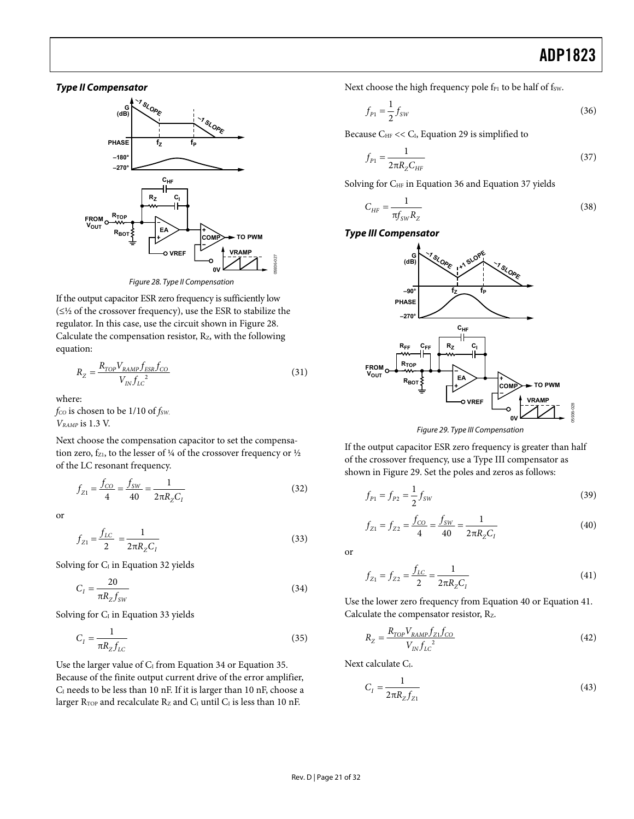#### **Type II Compensator**



Figure 28. Type II Compensation

<span id="page-20-0"></span>If the output capacitor ESR zero frequency is sufficiently low  $(\leq)$  of the crossover frequency), use the ESR to stabilize the regulator. In this case, use the circuit shown in [Figure 28.](#page-20-0) Calculate the compensation resistor, Rz, with the following equation:

$$
R_{Z} = \frac{R_{TOP} V_{RAMP} f_{ESR} f_{CO}}{V_{IN} f_{LC}^{2}}
$$
\n(31)

where:

*fco* is chosen to be 1/10 of *fsw*. *VRAMP* is 1.3 V.

<span id="page-20-1"></span>Next choose the compensation capacitor to set the compensation zero,  $f_{Z1}$ , to the lesser of ¼ of the crossover frequency or ½ of the LC resonant frequency.

$$
f_{Z1} = \frac{f_{CO}}{4} = \frac{f_{SW}}{40} = \frac{1}{2\pi R_Z C_I}
$$
(32)

or

$$
f_{Z1} = \frac{f_{LC}}{2} = \frac{1}{2\pi R_Z C_I}
$$
 (33)

Solving for  $C_I$  in Equation 32 yields

$$
C_I = \frac{20}{\pi R_Z f_{SW}}\tag{34}
$$

Solving for  $C_I$  in Equation 33 yields

$$
C_I = \frac{1}{\pi R_Z f_{LC}}
$$
\n(35)

Use the larger value of  $C_I$  from Equation 34 or Equation 35. Because of the finite output current drive of the error amplifier, CI needs to be less than 10 nF. If it is larger than 10 nF, choose a larger R<sub>TOP</sub> and recalculate Rz and C<sub>I</sub> until C<sub>I</sub> is less than 10 nF.

Next choose the high frequency pole  $f_{P1}$  to be half of  $f_{SW}$ .

$$
f_{p_1} = \frac{1}{2} f_{SW} \tag{36}
$$

Because  $C_{\text{HF}} << C_I$ , Equation 29 is simplified to

$$
f_{P1} = \frac{1}{2\pi R_Z C_{HF}}\tag{37}
$$

Solving for C<sub>HF</sub> in Equation 36 and Equation 37 yields

$$
C_{HF} = \frac{1}{\pi f_{SW} R_Z} \tag{38}
$$

#### **Type III Compensator**



Figure 29. Type III Compensation

If the output capacitor ESR zero frequency is greater than half of the crossover frequency, use a Type III compensator as shown in [Figure 29](#page-20-1). Set the poles and zeros as follows:

$$
f_{p_1} = f_{p_2} = \frac{1}{2} f_{SW}
$$
 (39)

$$
f_{Z1} = f_{Z2} = \frac{f_{CO}}{4} = \frac{f_{SW}}{40} = \frac{1}{2\pi R_Z C_I}
$$
(40)

or

$$
f_{Z_1} = f_{Z_2} = \frac{f_{LC}}{2} = \frac{1}{2\pi R_Z C_I}
$$
 (41)

Use the lower zero frequency from Equation 40 or Equation 41. Calculate the compensator resistor, Rz.

$$
R_Z = \frac{R_{TOP} V_{RAMP} f_{Z1} f_{CO}}{V_{IN} f_{LC}^2}
$$
(42)

Next calculate C<sub>I</sub>.

$$
C_{I} = \frac{1}{2\pi R_{Z} f_{Z1}}\tag{43}
$$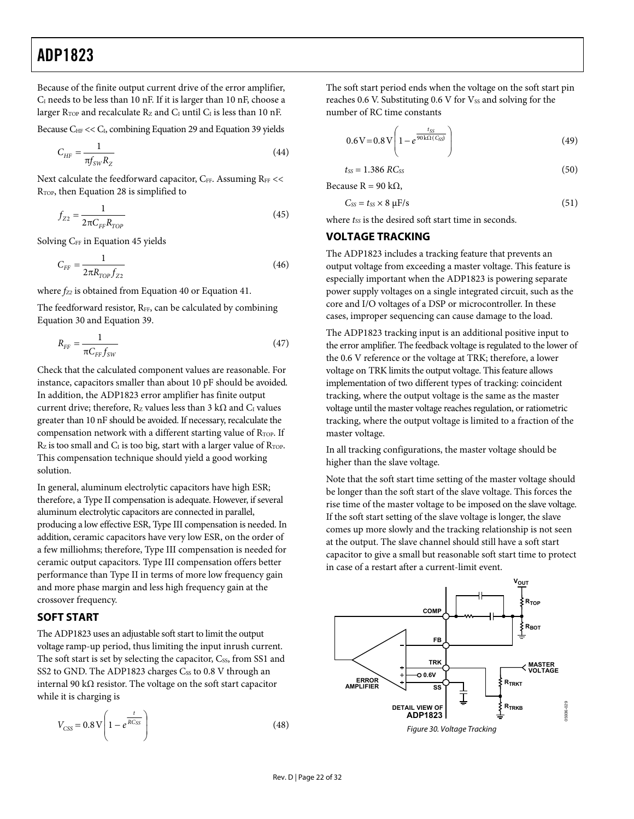<span id="page-21-0"></span>Because of the finite output current drive of the error amplifier, CI needs to be less than 10 nF. If it is larger than 10 nF, choose a larger  $R_{\text{TOP}}$  and recalculate  $R_Z$  and  $C_I$  until  $C_I$  is less than 10 nF.

Because  $C_{HF}$  <<  $C_I$ , combining Equation 29 and Equation 39 yields

$$
C_{HF} = \frac{1}{\pi f_{SW} R_Z} \tag{44}
$$

Next calculate the feedforward capacitor, CFF. Assuming RFF << R<sub>TOP</sub>, then Equation 28 is simplified to

$$
f_{Z2} = \frac{1}{2\pi C_{FF} R_{TOP}}\tag{45}
$$

<span id="page-21-2"></span>Solving C<sub>FF</sub> in Equation 45 yields

$$
C_{FF} = \frac{1}{2\pi R_{\text{TOP}} f_{Z2}}\tag{46}
$$

where  $f_{ZZ}$  is obtained from Equation 40 or Equation 41.

The feedforward resistor, R<sub>FF</sub>, can be calculated by combining Equation 30 and Equation 39.

$$
R_{FF} = \frac{1}{\pi C_{FF} f_{SW}}\tag{47}
$$

Check that the calculated component values are reasonable. For instance, capacitors smaller than about 10 pF should be avoided. In addition, the ADP1823 error amplifier has finite output current drive; therefore, Rz values less than 3 k $\Omega$  and  $C_I$  values greater than 10 nF should be avoided. If necessary, recalculate the compensation network with a different starting value of  $R_{\text{TOP}}$ . If  $R_z$  is too small and  $C_I$  is too big, start with a larger value of  $R_{TOP}$ . This compensation technique should yield a good working solution.

In general, aluminum electrolytic capacitors have high ESR; therefore, a Type II compensation is adequate. However, if several aluminum electrolytic capacitors are connected in parallel, producing a low effective ESR, Type III compensation is needed. In addition, ceramic capacitors have very low ESR, on the order of a few milliohms; therefore, Type III compensation is needed for ceramic output capacitors. Type III compensation offers better performance than Type II in terms of more low frequency gain and more phase margin and less high frequency gain at the crossover frequency.

#### <span id="page-21-1"></span>**SOFT START**

The ADP1823 uses an adjustable soft start to limit the output voltage ramp-up period, thus limiting the input inrush current. The soft start is set by selecting the capacitor, Css, from SS1 and SS2 to GND. The ADP1823 charges Css to 0.8 V through an internal 90 kΩ resistor. The voltage on the soft start capacitor while it is charging is

$$
V_{\rm CSS} = 0.8 \,\mathrm{V} \left( 1 - e^{\frac{t}{RCss}} \right) \tag{48}
$$

The soft start period ends when the voltage on the soft start pin reaches 0.6 V. Substituting 0.6 V for  $V_{SS}$  and solving for the number of RC time constants

$$
0.6\,\mathrm{V} = 0.8\,\mathrm{V} \left( 1 - e^{\frac{t_{\mathrm{SS}}}{90\,\mathrm{k}\Omega\,(C_{\mathrm{SS}})}} \right) \tag{49}
$$

$$
t_{SS} = 1.386 \, R C_{SS} \tag{50}
$$

$$
C_{SS} = t_{SS} \times 8 \, \mu \text{F/s} \tag{51}
$$

where  $t_{SS}$  is the desired soft start time in seconds.

#### **VOLTAGE TRACKING**

Because  $R = 90$  kΩ,

The ADP1823 includes a tracking feature that prevents an output voltage from exceeding a master voltage. This feature is especially important when the ADP1823 is powering separate power supply voltages on a single integrated circuit, such as the core and I/O voltages of a DSP or microcontroller. In these cases, improper sequencing can cause damage to the load.

The ADP1823 tracking input is an additional positive input to the error amplifier. The feedback voltage is regulated to the lower of the 0.6 V reference or the voltage at TRK; therefore, a lower voltage on TRK limits the output voltage. This feature allows implementation of two different types of tracking: coincident tracking, where the output voltage is the same as the master voltage until the master voltage reaches regulation, or ratiometric tracking, where the output voltage is limited to a fraction of the master voltage.

In all tracking configurations, the master voltage should be higher than the slave voltage.

Note that the soft start time setting of the master voltage should be longer than the soft start of the slave voltage. This forces the rise time of the master voltage to be imposed on the slave voltage. If the soft start setting of the slave voltage is longer, the slave comes up more slowly and the tracking relationship is not seen at the output. The slave channel should still have a soft start capacitor to give a small but reasonable soft start time to protect in case of a restart after a current-limit event.

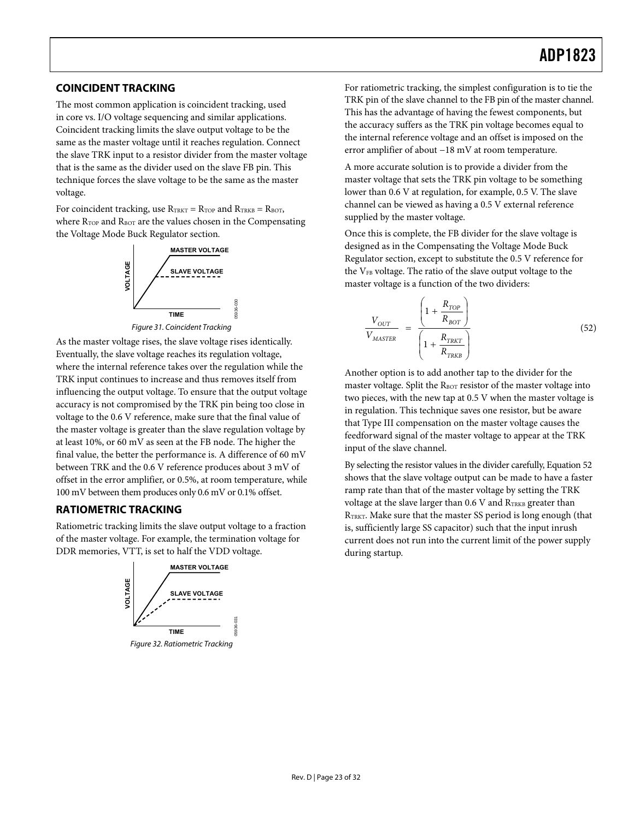#### <span id="page-22-0"></span>**COINCIDENT TRACKING**

The most common application is coincident tracking, used in core vs. I/O voltage sequencing and similar applications. Coincident tracking limits the slave output voltage to be the same as the master voltage until it reaches regulation. Connect the slave TRK input to a resistor divider from the master voltage that is the same as the divider used on the slave FB pin. This technique forces the slave voltage to be the same as the master voltage.

For coincident tracking, use  $R_{TRKT} = R_{TOP}$  and  $R_{TRKB} = R_{BOT}$ , where  $\rm R_{TOP}$  and  $\rm R_{BOT}$  are the values chosen in the Compensating [the Voltage Mode Buck Regulator](#page-18-1) section.



Figure 31. Coincident Tracking

As the master voltage rises, the slave voltage rises identically. Eventually, the slave voltage reaches its regulation voltage, where the internal reference takes over the regulation while the TRK input continues to increase and thus removes itself from influencing the output voltage. To ensure that the output voltage accuracy is not compromised by the TRK pin being too close in voltage to the 0.6 V reference, make sure that the final value of the master voltage is greater than the slave regulation voltage by at least 10%, or 60 mV as seen at the FB node. The higher the final value, the better the performance is. A difference of 60 mV between TRK and the 0.6 V reference produces about 3 mV of offset in the error amplifier, or 0.5%, at room temperature, while 100 mV between them produces only 0.6 mV or 0.1% offset.

#### **RATIOMETRIC TRACKING**

Ratiometric tracking limits the slave output voltage to a fraction of the master voltage. For example, the termination voltage for DDR memories, VTT, is set to half the VDD voltage.



For ratiometric tracking, the simplest configuration is to tie the TRK pin of the slave channel to the FB pin of the master channel. This has the advantage of having the fewest components, but the accuracy suffers as the TRK pin voltage becomes equal to the internal reference voltage and an offset is imposed on the error amplifier of about −18 mV at room temperature.

A more accurate solution is to provide a divider from the master voltage that sets the TRK pin voltage to be something lower than 0.6 V at regulation, for example, 0.5 V. The slave channel can be viewed as having a 0.5 V external reference supplied by the master voltage.

Once this is complete, the FB divider for the slave voltage is designed as in the [Compensating the Voltage Mode Buck](#page-18-1)  [Regulator](#page-18-1) section, except to substitute the 0.5 V reference for the V<sub>FB</sub> voltage. The ratio of the slave output voltage to the master voltage is a function of the two dividers:

$$
\frac{V_{OUT}}{V_{MASTER}} = \frac{\left(1 + \frac{R_{TOP}}{R_{ROT}}\right)}{\left(1 + \frac{R_{TRKT}}{R_{TRKB}}\right)}
$$
(52)

Another option is to add another tap to the divider for the master voltage. Split the  $R_{\text{BOT}}$  resistor of the master voltage into two pieces, with the new tap at 0.5 V when the master voltage is in regulation. This technique saves one resistor, but be aware that Type III compensation on the master voltage causes the feedforward signal of the master voltage to appear at the TRK input of the slave channel.

By selecting the resistor values in the divider carefully, Equation 52 shows that the slave voltage output can be made to have a faster ramp rate than that of the master voltage by setting the TRK voltage at the slave larger than  $0.6$  V and  $R_{TRKB}$  greater than RTRKT. Make sure that the master SS period is long enough (that is, sufficiently large SS capacitor) such that the input inrush current does not run into the current limit of the power supply during startup.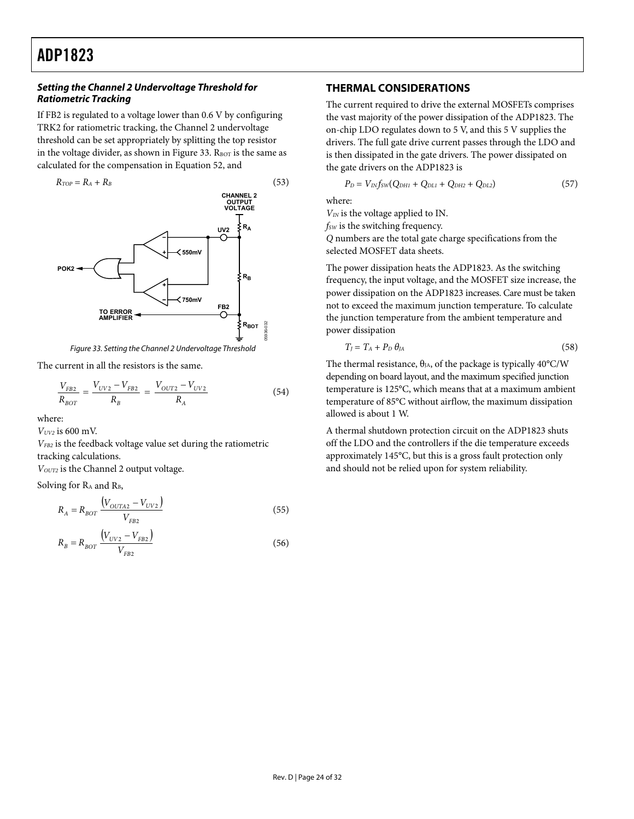#### <span id="page-23-1"></span><span id="page-23-0"></span>**Setting the Channel 2 Undervoltage Threshold for Ratiometric Tracking**

If FB2 is regulated to a voltage lower than 0.6 V by configuring TRK2 for ratiometric tracking, the Channel 2 undervoltage threshold can be set appropriately by splitting the top resistor in the voltage divider, as shown in [Figure 33](#page-23-2).  $R_{\text{BOT}}$  is the same as calculated for the compensation in Equation 52, and



Figure 33. Setting the Channel 2 Undervoltage Threshold **TAC**  $T$ 

The current in all the resistors is the same.

$$
\frac{V_{FB2}}{R_{BOT}} = \frac{V_{UV2} - V_{FB2}}{R_B} = \frac{V_{OUT2} - V_{UV2}}{R_A}
$$
(54)

*VUV2* is 600 mV.

*VFB2* is the feedback voltage value set during the ratiometric tracking calculations.

*VOUT2* is the Channel 2 output voltage.

Solving for  $R_A$  and  $R_B$ ,

$$
R_A = R_{BOT} \frac{\left(V_{OUTA2} - V_{UV2}\right)}{V_{FB2}}
$$
\n(55)

$$
R_B = R_{BOT} \frac{\left(V_{UV2} - V_{FB2}\right)}{V_{FB2}}
$$
\n(56)

#### **THERMAL CONSIDERATIONS**

The current required to drive the external MOSFETs comprises the vast majority of the power dissipation of the ADP1823. The on-chip LDO regulates down to 5 V, and this 5 V supplies the drivers. The full gate drive current passes through the LDO and is then dissipated in the gate drivers. The power dissipated on the gate drivers on the ADP1823 is

$$
P_D = V_{IN} f_{SW} (Q_{DHI} + Q_{DL1} + Q_{DH2} + Q_{DL2})
$$
\n(57)

where:

*VIN* is the voltage applied to IN.

*fsw* is the switching frequency.

*Q* numbers are the total gate charge specifications from the selected MOSFET data sheets.

The power dissipation heats the ADP1823. As the switching frequency, the input voltage, and the MOSFET size increase, the power dissipation on the ADP1823 increases. Care must be taken not to exceed the maximum junction temperature. To calculate the junction temperature from the ambient temperature and power dissipation

$$
T_J = T_A + P_D \theta_{JA} \tag{58}
$$

<span id="page-23-2"></span>The thermal resistance,  $\theta_{JA}$ , of the package is typically 40°C/W depending on board layout, and the maximum specified junction temperature is 125°C, which means that at a maximum ambient temperature of 85°C without airflow, the maximum dissipation allowed is about 1 W. where:

> A thermal shutdown protection circuit on the ADP1823 shuts off the LDO and the controllers if the die temperature exceeds approximately 145°C, but this is a gross fault protection only and should not be relied upon for system reliability.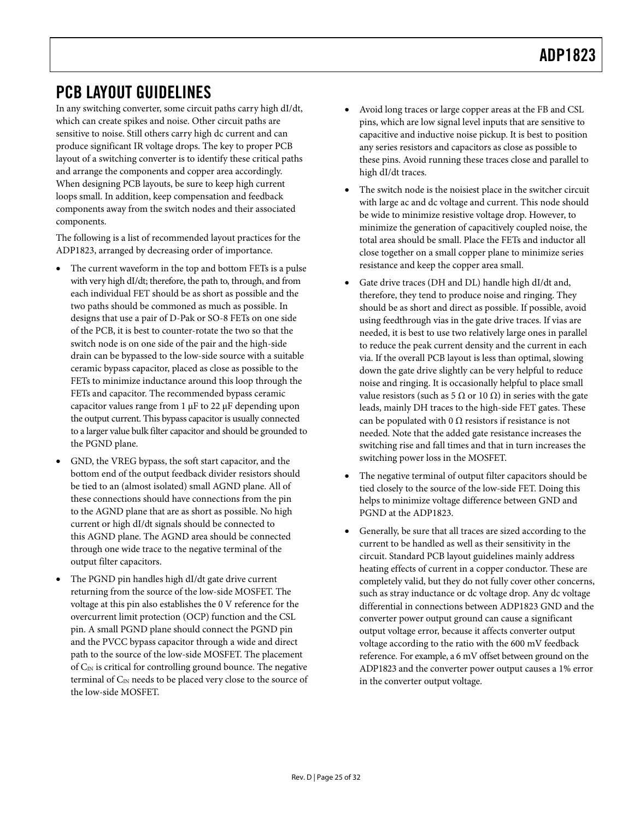### <span id="page-24-0"></span>PCB LAYOUT GUIDELINES

In any switching converter, some circuit paths carry high dI/dt, which can create spikes and noise. Other circuit paths are sensitive to noise. Still others carry high dc current and can produce significant IR voltage drops. The key to proper PCB layout of a switching converter is to identify these critical paths and arrange the components and copper area accordingly. When designing PCB layouts, be sure to keep high current loops small. In addition, keep compensation and feedback components away from the switch nodes and their associated components.

The following is a list of recommended layout practices for the ADP1823, arranged by decreasing order of importance.

- The current waveform in the top and bottom FETs is a pulse with very high dI/dt; therefore, the path to, through, and from each individual FET should be as short as possible and the two paths should be commoned as much as possible. In designs that use a pair of D-Pak or SO-8 FETs on one side of the PCB, it is best to counter-rotate the two so that the switch node is on one side of the pair and the high-side drain can be bypassed to the low-side source with a suitable ceramic bypass capacitor, placed as close as possible to the FETs to minimize inductance around this loop through the FETs and capacitor. The recommended bypass ceramic capacitor values range from 1 μF to 22 μF depending upon the output current. This bypass capacitor is usually connected to a larger value bulk filter capacitor and should be grounded to the PGND plane.
- GND, the VREG bypass, the soft start capacitor, and the bottom end of the output feedback divider resistors should be tied to an (almost isolated) small AGND plane. All of these connections should have connections from the pin to the AGND plane that are as short as possible. No high current or high dI/dt signals should be connected to this AGND plane. The AGND area should be connected through one wide trace to the negative terminal of the output filter capacitors.
- The PGND pin handles high dI/dt gate drive current returning from the source of the low-side MOSFET. The voltage at this pin also establishes the 0 V reference for the overcurrent limit protection (OCP) function and the CSL pin. A small PGND plane should connect the PGND pin and the PVCC bypass capacitor through a wide and direct path to the source of the low-side MOSFET. The placement of  $C_{IN}$  is critical for controlling ground bounce. The negative terminal of  $C_{\text{IN}}$  needs to be placed very close to the source of the low-side MOSFET.
- Avoid long traces or large copper areas at the FB and CSL pins, which are low signal level inputs that are sensitive to capacitive and inductive noise pickup. It is best to position any series resistors and capacitors as close as possible to these pins. Avoid running these traces close and parallel to high dI/dt traces.
- The switch node is the noisiest place in the switcher circuit with large ac and dc voltage and current. This node should be wide to minimize resistive voltage drop. However, to minimize the generation of capacitively coupled noise, the total area should be small. Place the FETs and inductor all close together on a small copper plane to minimize series resistance and keep the copper area small.
- Gate drive traces (DH and DL) handle high dI/dt and, therefore, they tend to produce noise and ringing. They should be as short and direct as possible. If possible, avoid using feedthrough vias in the gate drive traces. If vias are needed, it is best to use two relatively large ones in parallel to reduce the peak current density and the current in each via. If the overall PCB layout is less than optimal, slowing down the gate drive slightly can be very helpful to reduce noise and ringing. It is occasionally helpful to place small value resistors (such as 5 Ω or 10 Ω) in series with the gate leads, mainly DH traces to the high-side FET gates. These can be populated with 0  $\Omega$  resistors if resistance is not needed. Note that the added gate resistance increases the switching rise and fall times and that in turn increases the switching power loss in the MOSFET.
- The negative terminal of output filter capacitors should be tied closely to the source of the low-side FET. Doing this helps to minimize voltage difference between GND and PGND at the ADP1823.
- Generally, be sure that all traces are sized according to the current to be handled as well as their sensitivity in the circuit. Standard PCB layout guidelines mainly address heating effects of current in a copper conductor. These are completely valid, but they do not fully cover other concerns, such as stray inductance or dc voltage drop. Any dc voltage differential in connections between ADP1823 GND and the converter power output ground can cause a significant output voltage error, because it affects converter output voltage according to the ratio with the 600 mV feedback reference. For example, a 6 mV offset between ground on the ADP1823 and the converter power output causes a 1% error in the converter output voltage.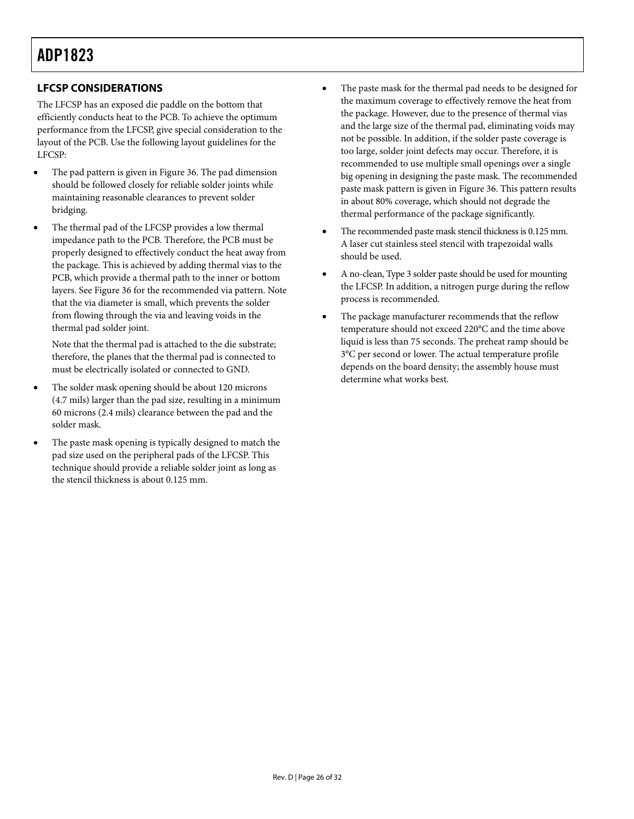### <span id="page-25-0"></span>**LFCSP CONSIDERATIONS**

The LFCSP has an exposed die paddle on the bottom that efficiently conducts heat to the PCB. To achieve the optimum performance from the LFCSP, give special consideration to the layout of the PCB. Use the following layout guidelines for the LFCSP:

- The pad pattern is given in [Figure 36](#page-28-1). The pad dimension should be followed closely for reliable solder joints while maintaining reasonable clearances to prevent solder bridging.
- The thermal pad of the LFCSP provides a low thermal impedance path to the PCB. Therefore, the PCB must be properly designed to effectively conduct the heat away from the package. This is achieved by adding thermal vias to the PCB, which provide a thermal path to the inner or bottom layers. See [Figure 36](#page-28-1) for the recommended via pattern. Note that the via diameter is small, which prevents the solder from flowing through the via and leaving voids in the thermal pad solder joint.

Note that the thermal pad is attached to the die substrate; therefore, the planes that the thermal pad is connected to must be electrically isolated or connected to GND.

- The solder mask opening should be about 120 microns (4.7 mils) larger than the pad size, resulting in a minimum 60 microns (2.4 mils) clearance between the pad and the solder mask.
- The paste mask opening is typically designed to match the pad size used on the peripheral pads of the LFCSP. This technique should provide a reliable solder joint as long as the stencil thickness is about 0.125 mm.
- The paste mask for the thermal pad needs to be designed for the maximum coverage to effectively remove the heat from the package. However, due to the presence of thermal vias and the large size of the thermal pad, eliminating voids may not be possible. In addition, if the solder paste coverage is too large, solder joint defects may occur. Therefore, it is recommended to use multiple small openings over a single big opening in designing the paste mask. The recommended paste mask pattern is given in [Figure 36](#page-28-1). This pattern results in about 80% coverage, which should not degrade the thermal performance of the package significantly.
- The recommended paste mask stencil thickness is 0.125 mm. A laser cut stainless steel stencil with trapezoidal walls should be used.
- A no-clean, Type 3 solder paste should be used for mounting the LFCSP. In addition, a nitrogen purge during the reflow process is recommended.
- The package manufacturer recommends that the reflow temperature should not exceed 220°C and the time above liquid is less than 75 seconds. The preheat ramp should be 3°C per second or lower. The actual temperature profile depends on the board density; the assembly house must determine what works best.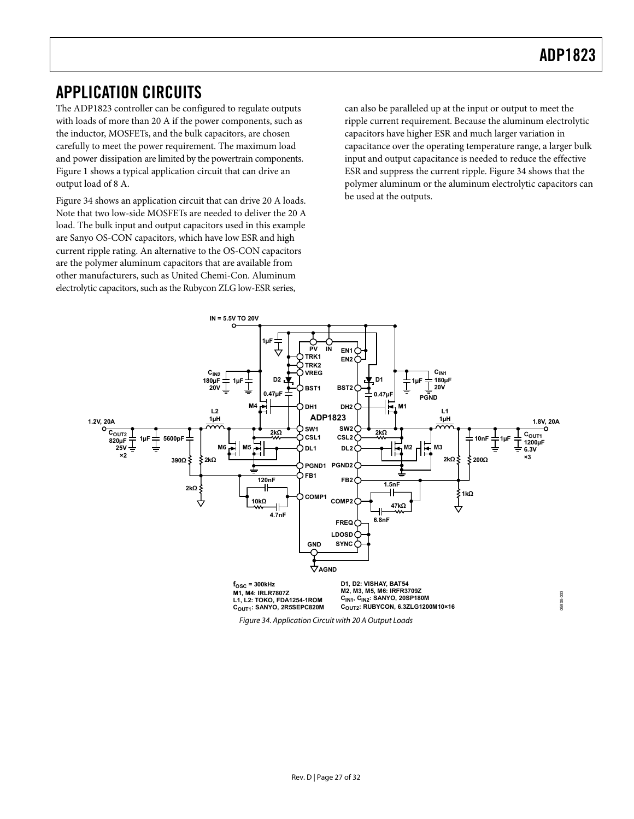### <span id="page-26-0"></span>APPLICATION CIRCUITS

The ADP1823 controller can be configured to regulate outputs with loads of more than 20 A if the power components, such as the inductor, MOSFETs, and the bulk capacitors, are chosen carefully to meet the power requirement. The maximum load and power dissipation are limited by the powertrain components. [Figure 1](#page-0-1) shows a typical application circuit that can drive an output load of 8 A.

[Figure 34](#page-26-1) shows an application circuit that can drive 20 A loads. Note that two low-side MOSFETs are needed to deliver the 20 A load. The bulk input and output capacitors used in this example are Sanyo OS-CON capacitors, which have low ESR and high current ripple rating. An alternative to the OS-CON capacitors are the polymer aluminum capacitors that are available from other manufacturers, such as United Chemi-Con. Aluminum electrolytic capacitors, such as the Rubycon ZLG low-ESR series,

can also be paralleled up at the input or output to meet the ripple current requirement. Because the aluminum electrolytic capacitors have higher ESR and much larger variation in capacitance over the operating temperature range, a larger bulk input and output capacitance is needed to reduce the effective ESR and suppress the current ripple. [Figure 34](#page-26-1) shows that the polymer aluminum or the aluminum electrolytic capacitors can be used at the outputs.



<span id="page-26-1"></span>Figure 34. Application Circuit with 20 A Output Loads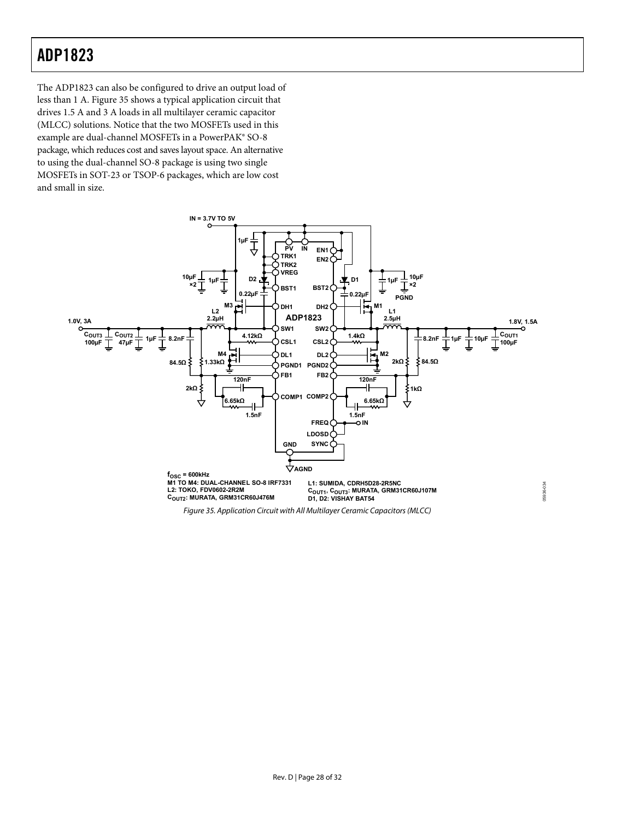The ADP1823 can also be configured to drive an output load of less than 1 A. [Figure 35](#page-27-0) shows a typical application circuit that drives 1.5 A and 3 A loads in all multilayer ceramic capacitor (MLCC) solutions. Notice that the two MOSFETs used in this example are dual-channel MOSFETs in a PowerPAK® SO-8 package, which reduces cost and saves layout space. An alternative to using the dual-channel SO-8 package is using two single MOSFETs in SOT-23 or TSOP-6 packages, which are low cost and small in size.



<span id="page-27-0"></span>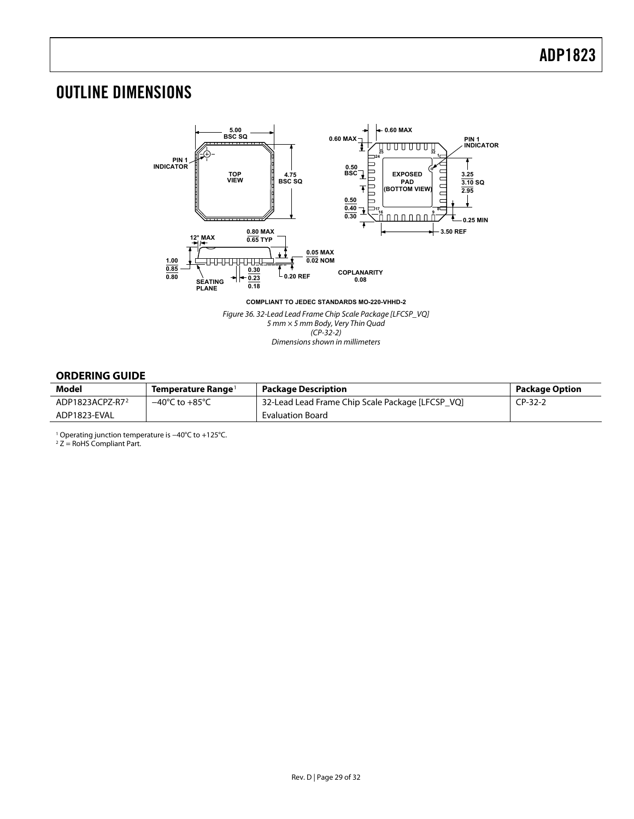### <span id="page-28-0"></span>OUTLINE DIMENSIONS



Figure 36. 32-Lead Lead Frame Chip Scale Package [LFCSP\_VQ] 5 mm × 5 mm Body, Very Thin Quad (CP-32-2) Dimensions shown in millimeters

#### <span id="page-28-1"></span>**ORDERING GUIDE**

| Model           | Temperature Range                  | <b>Package Description</b>                       | <b>Package Option</b> |
|-----------------|------------------------------------|--------------------------------------------------|-----------------------|
| ADP1823ACPZ-R72 | $-40^{\circ}$ C to $+85^{\circ}$ C | 32-Lead Lead Frame Chip Scale Package [LFCSP_VQ] | $CP-32-2$             |
| ADP1823-EVAL    |                                    | Evaluation Board                                 |                       |

1 Operating junction temperature is −40°C to +125°C. 2 Z = RoHS Compliant Part.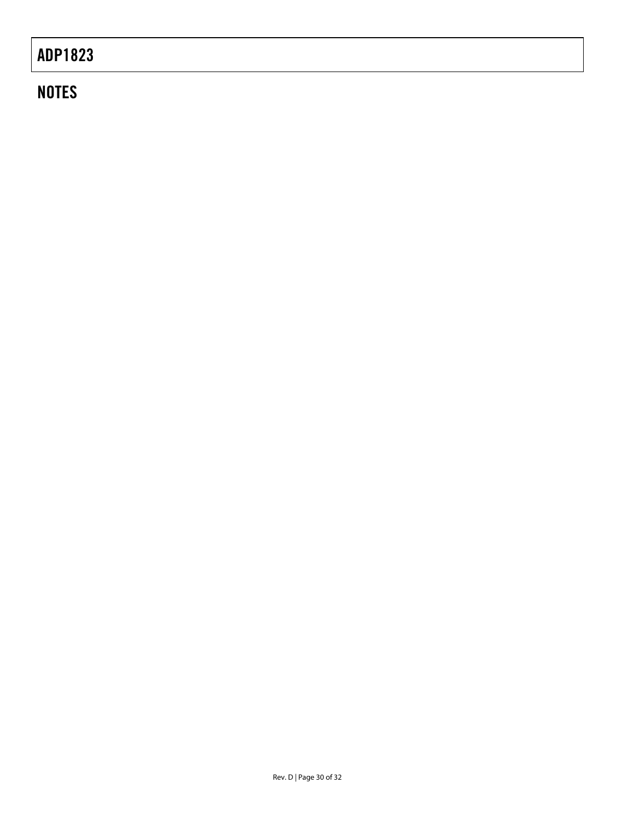### **NOTES**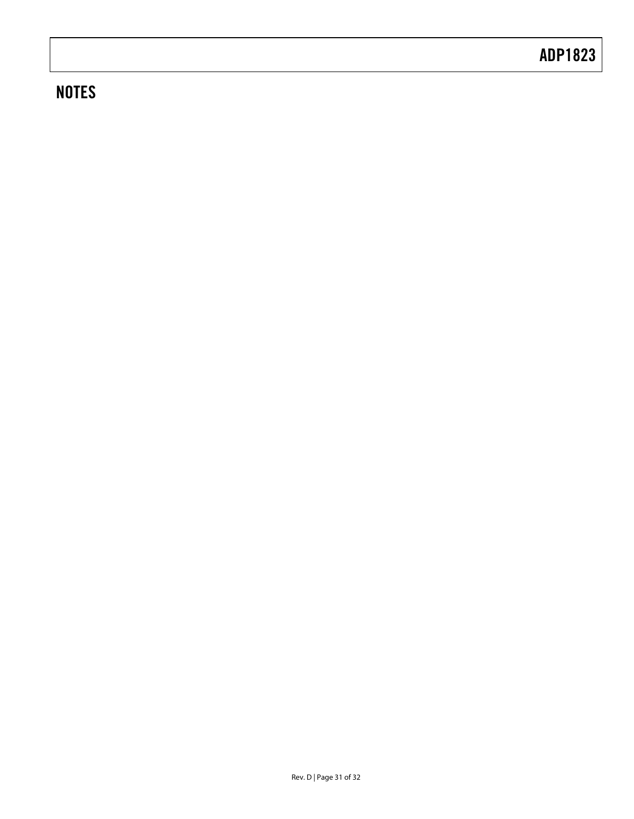### **NOTES**